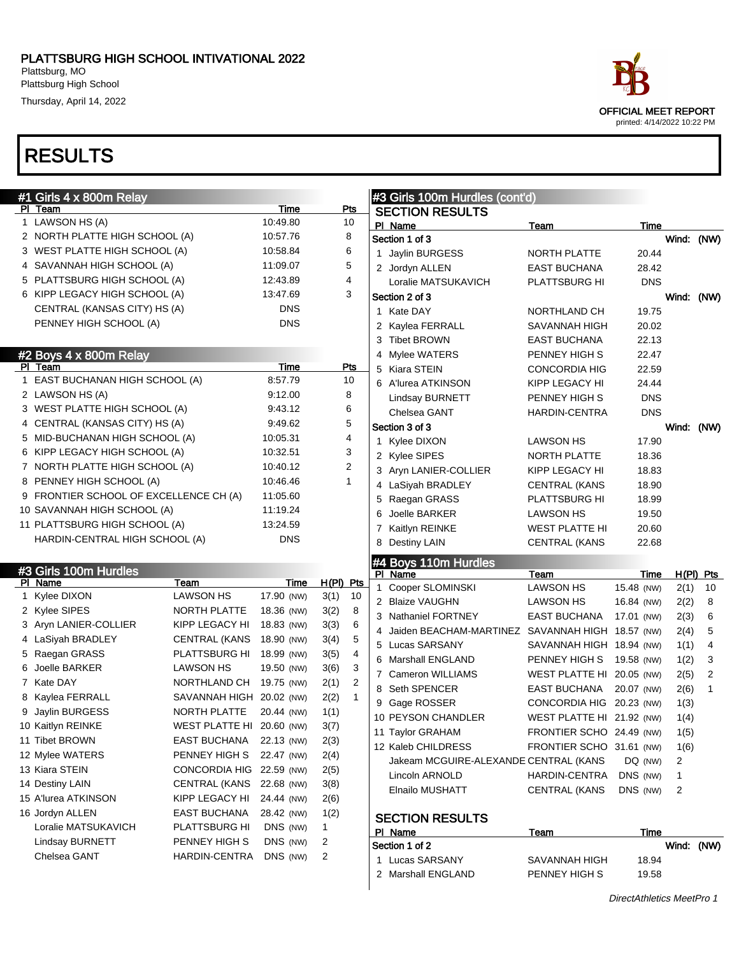Thursday, April 14, 2022



| #1 Girls 4 x 800m Relay<br>PI Team     |                           | <b>Time</b> | Pts                  |   | #3 Girls 100m Hurdles (cont'd)                     |                           |                    |            |                   |
|----------------------------------------|---------------------------|-------------|----------------------|---|----------------------------------------------------|---------------------------|--------------------|------------|-------------------|
| 1 LAWSON HS (A)                        |                           | 10:49.80    | 10                   |   | <b>SECTION RESULTS</b>                             |                           |                    |            |                   |
| 2 NORTH PLATTE HIGH SCHOOL (A)         |                           | 10:57.76    | 8                    |   | PI Name<br>Section 1 of 3                          | <b>Team</b>               | Time               | Wind: (NW) |                   |
| 3 WEST PLATTE HIGH SCHOOL (A)          |                           | 10:58.84    | 6                    |   | 1 Jaylin BURGESS                                   | NORTH PLATTE              | 20.44              |            |                   |
| 4 SAVANNAH HIGH SCHOOL (A)             |                           | 11:09.07    | 5                    |   | 2 Jordyn ALLEN                                     | <b>EAST BUCHANA</b>       | 28.42              |            |                   |
| 5 PLATTSBURG HIGH SCHOOL (A)           |                           | 12:43.89    | 4                    |   | Loralie MATSUKAVICH                                | <b>PLATTSBURG HI</b>      | <b>DNS</b>         |            |                   |
| 6 KIPP LEGACY HIGH SCHOOL (A)          |                           | 13 47 69    | 3                    |   | Section 2 of 3                                     |                           |                    | Wind: (NW) |                   |
| CENTRAL (KANSAS CITY) HS (A)           |                           | DNS         |                      |   | 1 Kate DAY                                         | NORTHLAND CH              | 19.75              |            |                   |
| PENNEY HIGH SCHOOL (A)                 |                           | <b>DNS</b>  |                      |   | 2 Kaylea FERRALL                                   | SAVANNAH HIGH             | 20.02              |            |                   |
|                                        |                           |             |                      |   | 3 Tibet BROWN                                      | EAST BUCHANA              | 22.13              |            |                   |
| #2 Boys 4 x 800m Relay                 |                           |             |                      |   | 4 Mylee WATERS                                     | PENNEY HIGH S             | 22.47              |            |                   |
| PI Team                                |                           | Time        | Pts                  |   |                                                    |                           |                    |            |                   |
| 1 EAST BUCHANAN HIGH SCHOOL (A)        |                           | 8:57.79     | 10                   | 5 | Kiara STEIN                                        | CONCORDIA HIG             | 22.59              |            |                   |
| 2 LAWSON HS (A)                        |                           | 9:12.00     | 8                    |   | 6 A'lurea ATKINSON                                 | KIPP LEGACY HI            | 24.44              |            |                   |
| 3 WEST PLATTE HIGH SCHOOL (A)          |                           | 9:43.12     | 6                    |   | Lindsay BURNETT                                    | PENNEY HIGH S             | <b>DNS</b>         |            |                   |
| 4 CENTRAL (KANSAS CITY) HS (A)         |                           | 9:49.62     | 5                    |   | Chelsea GANT                                       | HARDIN-CENTRA             | <b>DNS</b>         |            |                   |
| 5 MID-BUCHANAN HIGH SCHOOL (A)         |                           | 10:05.31    | 4                    |   | Section 3 of 3                                     |                           |                    | Wind: (NW) |                   |
| 6 KIPP LEGACY HIGH SCHOOL (A)          |                           | 10:32.51    | 3                    |   | 1 Kylee DIXON                                      | LAWSON HS                 | 17.90              |            |                   |
| 7 NORTH PLATTE HIGH SCHOOL (A)         |                           | 10:40.12    | 2                    |   | 2 Kylee SIPES                                      | NORTH PLATTE              | 18.36              |            |                   |
| 8 PENNEY HIGH SCHOOL (A)               |                           | 10:46.46    | $\mathbf{1}$         |   | 3 Aryn LANIER-COLLIER                              | KIPP LEGACY HI            | 18.83              |            |                   |
| 9 FRONTIER SCHOOL OF EXCELLENCE CH (A) |                           | 11:05.60    |                      |   | 4 LaSiyah BRADLEY                                  | <b>CENTRAL (KANS</b>      | 18.90              |            |                   |
| 10 SAVANNAH HIGH SCHOOL (A)            |                           | 11:19.24    |                      |   | 5 Raegan GRASS                                     | PLATTSBURG HI             | 18.99              |            |                   |
|                                        |                           | 13:24.59    |                      | 6 | Joelle BARKER                                      | LAWSON HS                 | 19.50              |            |                   |
| 11 PLATTSBURG HIGH SCHOOL (A)          |                           | <b>DNS</b>  |                      | 7 | Kaitlyn REINKE                                     | <b>WEST PLATTE HI</b>     | 20.60              |            |                   |
| HARDIN-CENTRAL HIGH SCHOOL (A)         |                           |             |                      | 8 | Destiny LAIN                                       | <b>CENTRAL (KANS</b>      | 22.68              |            |                   |
| #3 Girls 100m Hurdles                  |                           |             |                      |   | #4 Boys 110m Hurdles                               |                           |                    |            |                   |
| PI Name                                | Team                      | Time        | $H(PI)$ Pts          |   | PI Name<br>1 Cooper SLOMINSKI                      | Team<br><b>LAWSON HS</b>  | Time<br>15.48 (NW) |            | $H(PI)$ Pts<br>10 |
| 1 Kylee DIXON                          | <b>LAWSON HS</b>          | 17.90 (NW)  | 10<br>3(1)           |   | 2 Blaize VAUGHN                                    | LAWSON HS                 | 16.84 (NW)         | 2(1)       | 8                 |
| 2 Kylee SIPES                          | NORTH PLATTE              | 18.36 (NW)  | 8<br>3(2)            |   | 3 Nathaniel FORTNEY                                | EAST BUCHANA              | 17.01 (NW)         | 2(2)       | 6                 |
| 3 Aryn LANIER-COLLIER                  | KIPP LEGACY HI            | 18.83 (NW)  | 6<br>3(3)            |   | 4 Jaiden BEACHAM-MARTINEZ SAVANNAH HIGH 18.57 (NW) |                           |                    | 2(3)       | 5                 |
| 4 LaSiyah BRADLEY                      | <b>CENTRAL (KANS</b>      | 18.90 (NW)  | 5<br>3(4)            |   | 5 Lucas SARSANY                                    | SAVANNAH HIGH 18.94 (NW)  |                    | 2(4)       | 4                 |
| 5 Raegan GRASS                         | PLATTSBURG HI             | 18.99 (NW)  | 4<br>3(5)            |   | 6 Marshall ENGLAND                                 | PENNEY HIGH S             |                    | 1(1)       | 3                 |
| 6 Joelle BARKER                        | <b>LAWSON HS</b>          | 19.50 (NW)  | 3<br>3(6)            |   |                                                    |                           | 19.58 (NW)         | 1(2)       |                   |
| 7 Kate DAY                             | NORTHLAND CH              | 19.75 (NW)  | 2<br>2(1)            |   | 7 Cameron WILLIAMS                                 | WEST PLATTE HI 20.05 (NW) |                    | 2(5)       | $\overline{2}$    |
| 8 Kaylea FERRALL                       | SAVANNAH HIGH 20.02 (NW)  |             | 2(2)<br>$\mathbf{1}$ |   | 8 Seth SPENCER                                     | EAST BUCHANA              | 20.07 (NW)         | 2(6)       | 1                 |
| 9 Jaylin BURGESS                       | NORTH PLATTE              | 20.44 (NW)  | 1(1)                 |   | 9 Gage ROSSER                                      | CONCORDIA HIG 20.23 (NW)  |                    | 1(3)       |                   |
| 10 Kaitlyn REINKE                      | WEST PLATTE HI 20.60 (NW) |             | 3(7)                 |   | 10 PEYSON CHANDLER                                 | WEST PLATTE HI 21.92 (NW) |                    | 1(4)       |                   |
| 11 Tibet BROWN                         | <b>EAST BUCHANA</b>       | 22.13 (NW)  | 2(3)                 |   | 11 Taylor GRAHAM                                   | FRONTIER SCHO 24.49 (NW)  |                    | 1(5)       |                   |
| 12 Mylee WATERS                        | PENNEY HIGH S             | 22.47 (NW)  | 2(4)                 |   | 12 Kaleb CHILDRESS                                 | FRONTIER SCHO 31.61 (NW)  |                    | 1(6)       |                   |
| 13 Kiara STEIN                         | CONCORDIA HIG 22.59 (NW)  |             | 2(5)                 |   | Jakeam MCGUIRE-ALEXANDE CENTRAL (KANS              |                           | DQ (NW)            | 2          |                   |
| 14 Destiny LAIN                        | CENTRAL (KANS 22.68 (NW)  |             | 3(8)                 |   | Lincoln ARNOLD                                     | HARDIN-CENTRA             | DNS (NW)           | 1          |                   |
| 15 A'lurea ATKINSON                    | KIPP LEGACY HI            | 24.44 (NW)  | 2(6)                 |   | Elnailo MUSHATT                                    | <b>CENTRAL (KANS</b>      | DNS (NW)           | 2          |                   |
| 16 Jordyn ALLEN                        | EAST BUCHANA              | 28.42 (NW)  | 1(2)                 |   |                                                    |                           |                    |            |                   |
| Loralie MATSUKAVICH                    | PLATTSBURG HI             | DNS (NW)    | 1                    |   | <b>SECTION RESULTS</b>                             |                           |                    |            |                   |
| Lindsay BURNETT                        | PENNEY HIGH S             | DNS (NW)    | 2                    |   | PI Name<br>Section 1 of 2                          | Team                      | Time               | Wind: (NW) |                   |
| Chelsea GANT                           | HARDIN-CENTRA             | DNS (NW)    | 2                    |   | 1 Lucas SARSANY                                    | SAVANNAH HIGH             | 18.94              |            |                   |
|                                        |                           |             |                      |   | 2 Marshall ENGLAND                                 | PENNEY HIGH S             |                    |            |                   |
|                                        |                           |             |                      |   |                                                    |                           | 19.58              |            |                   |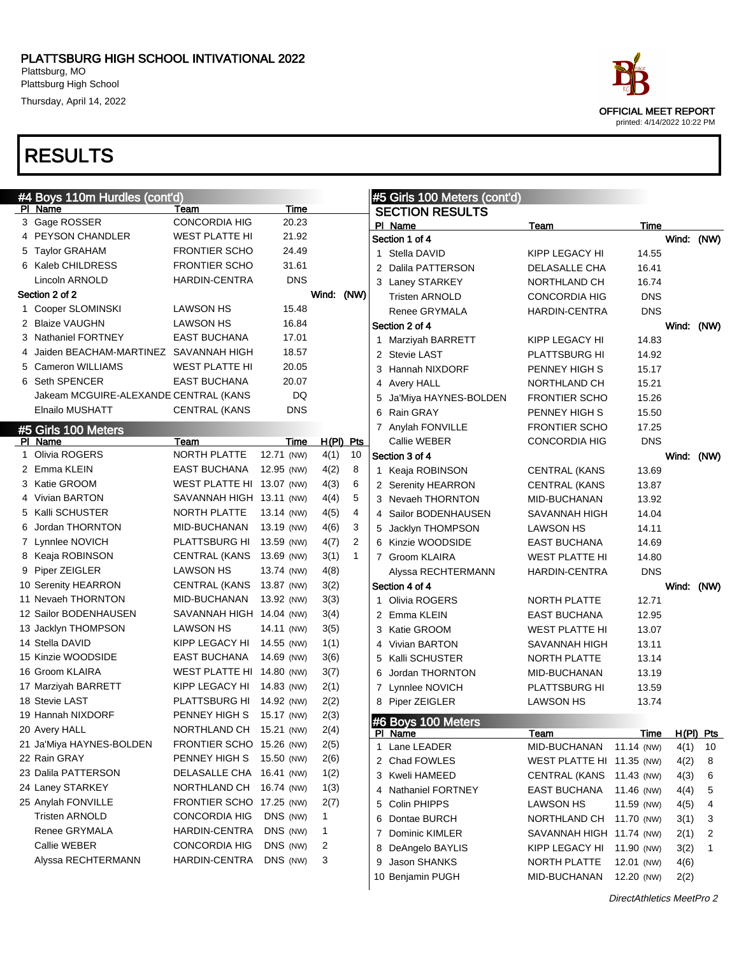Thursday, April 14, 2022



| #4 Boys 110m Hurdles (cont'd)           |                           |            |                         |                |   | #5 Girls 100 Meters (cont'd) |                           |             |            |             |
|-----------------------------------------|---------------------------|------------|-------------------------|----------------|---|------------------------------|---------------------------|-------------|------------|-------------|
| PI Name                                 | Team                      | Time       |                         |                |   | <b>SECTION RESULTS</b>       |                           |             |            |             |
| 3 Gage ROSSER                           | <b>CONCORDIA HIG</b>      | 20.23      |                         |                |   | PI Name                      | Team                      | Time        |            |             |
| 4 PEYSON CHANDLER                       | <b>WEST PLATTE HI</b>     | 21.92      |                         |                |   | Section 1 of 4               |                           |             | Wind: (NW) |             |
| 5 Taylor GRAHAM                         | <b>FRONTIER SCHO</b>      | 24.49      |                         |                |   | 1 Stella DAVID               | KIPP LEGACY HI            | 14.55       |            |             |
| 6 Kaleb CHILDRESS                       | <b>FRONTIER SCHO</b>      | 31.61      |                         |                |   | 2 Dalila PATTERSON           | DELASALLE CHA             | 16.41       |            |             |
| Lincoln ARNOLD                          | <b>HARDIN-CENTRA</b>      | <b>DNS</b> |                         |                |   | 3 Laney STARKEY              | NORTHLAND CH              | 16.74       |            |             |
| Section 2 of 2                          |                           |            | Wind:                   | (NW)           |   | <b>Tristen ARNOLD</b>        | <b>CONCORDIA HIG</b>      | <b>DNS</b>  |            |             |
| 1 Cooper SLOMINSKI                      | <b>LAWSON HS</b>          | 15.48      |                         |                |   | Renee GRYMALA                | <b>HARDIN-CENTRA</b>      | <b>DNS</b>  |            |             |
| 2 Blaize VAUGHN                         | <b>LAWSON HS</b>          | 16.84      |                         |                |   | Section 2 of 4               |                           |             | Wind: (NW) |             |
| 3 Nathaniel FORTNEY                     | <b>EAST BUCHANA</b>       | 17.01      |                         |                |   | 1 Marziyah BARRETT           | KIPP LEGACY HI            | 14.83       |            |             |
| 4 Jaiden BEACHAM-MARTINEZ SAVANNAH HIGH |                           | 18.57      |                         |                |   | 2 Stevie LAST                | PLATTSBURG HI             | 14.92       |            |             |
| 5 Cameron WILLIAMS                      | <b>WEST PLATTE HI</b>     | 20.05      |                         |                |   | 3 Hannah NIXDORF             | PENNEY HIGH S             | 15.17       |            |             |
| 6 Seth SPENCER                          | <b>EAST BUCHANA</b>       | 20.07      |                         |                |   | 4 Avery HALL                 | NORTHLAND CH              | 15.21       |            |             |
| Jakeam MCGUIRE-ALEXANDE CENTRAL (KANS   |                           | DQ         |                         |                | 5 | Ja'Miya HAYNES-BOLDEN        | <b>FRONTIER SCHO</b>      | 15.26       |            |             |
| Elnailo MUSHATT                         | <b>CENTRAL (KANS</b>      | <b>DNS</b> |                         |                | 6 | Rain GRAY                    | PENNEY HIGH S             | 15.50       |            |             |
| #5 Girls 100 Meters                     |                           |            |                         |                |   | 7 Anylah FONVILLE            | <b>FRONTIER SCHO</b>      | 17.25       |            |             |
| PI Name                                 | Team                      | Time       |                         | $H(PI)$ Pts    |   | Callie WEBER                 | <b>CONCORDIA HIG</b>      | <b>DNS</b>  |            |             |
| 1 Olivia ROGERS                         | NORTH PLATTE              | 12.71 (NW) | 4(1)                    | 10             |   | Section 3 of 4               |                           |             | Wind: (NW) |             |
| 2 Emma KLEIN                            | EAST BUCHANA              | 12.95 (NW) | 4(2)                    | 8              |   | 1 Keaja ROBINSON             | <b>CENTRAL (KANS</b>      | 13.69       |            |             |
| 3 Katie GROOM                           | WEST PLATTE HI 13.07 (NW) |            | 4(3)                    | 6              |   | 2 Serenity HEARRON           | <b>CENTRAL (KANS</b>      | 13.87       |            |             |
| 4 Vivian BARTON                         | SAVANNAH HIGH 13.11 (NW)  |            | 4(4)                    | 5              |   | 3 Nevaeh THORNTON            | MID-BUCHANAN              | 13.92       |            |             |
| 5 Kalli SCHUSTER                        | <b>NORTH PLATTE</b>       | 13.14 (NW) | 4(5)                    | $\overline{4}$ |   | 4 Sailor BODENHAUSEN         | SAVANNAH HIGH             | 14.04       |            |             |
| 6 Jordan THORNTON                       | MID-BUCHANAN              | 13.19 (NW) | 4(6)                    | 3              |   | 5 Jacklyn THOMPSON           | <b>LAWSON HS</b>          | 14.11       |            |             |
| 7 Lynnlee NOVICH                        | PLATTSBURG HI             | 13.59 (NW) | 4(7)                    | 2              |   | 6 Kinzie WOODSIDE            | EAST BUCHANA              | 14.69       |            |             |
| 8 Keaja ROBINSON                        | <b>CENTRAL (KANS</b>      | 13.69 (NW) | 3(1)                    | $\mathbf{1}$   |   | 7 Groom KLAIRA               | <b>WEST PLATTE HI</b>     | 14.80       |            |             |
| 9 Piper ZEIGLER                         | <b>LAWSON HS</b>          | 13.74 (NW) | 4(8)                    |                |   | Alyssa RECHTERMANN           | <b>HARDIN-CENTRA</b>      | <b>DNS</b>  |            |             |
| 10 Serenity HEARRON                     | <b>CENTRAL (KANS</b>      | 13.87 (NW) | 3(2)                    |                |   | Section 4 of 4               |                           |             | Wind: (NW) |             |
| 11 Nevaeh THORNTON                      | MID-BUCHANAN              | 13.92 (NW) | 3(3)                    |                |   | 1 Olivia ROGERS              | NORTH PLATTE              | 12.71       |            |             |
| 12 Sailor BODENHAUSEN                   | SAVANNAH HIGH 14.04 (NW)  |            | 3(4)                    |                |   | 2 Emma KLEIN                 | EAST BUCHANA              | 12.95       |            |             |
| 13 Jacklyn THOMPSON                     | <b>LAWSON HS</b>          | 14.11 (NW) | 3(5)                    |                |   | 3 Katie GROOM                | <b>WEST PLATTE HI</b>     | 13.07       |            |             |
| 14 Stella DAVID                         | KIPP LEGACY HI            | 14.55 (NW) | 1(1)                    |                |   | 4 Vivian BARTON              | SAVANNAH HIGH             | 13.11       |            |             |
| 15 Kinzie WOODSIDE                      | EAST BUCHANA              | 14.69 (NW) | 3(6)                    |                |   | 5 Kalli SCHUSTER             | <b>NORTH PLATTE</b>       | 13.14       |            |             |
| 16 Groom KLAIRA                         | WEST PLATTE HI 14.80 (NW) |            | 3(7)                    |                | 6 | Jordan THORNTON              | MID-BUCHANAN              | 13.19       |            |             |
| 17 Marziyah BARRETT                     | KIPP LEGACY HI            | 14.83 (NW) | 2(1)                    |                |   | 7 Lynnlee NOVICH             | PLATTSBURG HI             | 13.59       |            |             |
| 18 Stevie LAST                          | PLATTSBURG HI             | 14.92 (NW) | 2(2)                    |                |   | 8 Piper ZEIGLER              | <b>LAWSON HS</b>          | 13.74       |            |             |
| 19 Hannah NIXDORF                       | PENNEY HIGH S             | 15.17 (NW) | 2(3)                    |                |   | #6 Boys 100 Meters           |                           |             |            |             |
| 20 Avery HALL                           | NORTHLAND CH 15.21 (NW)   |            | 2(4)                    |                |   | PI Name                      | Team                      | <u>Time</u> |            | $H(PI)$ Pts |
| 21 Ja'Miya HAYNES-BOLDEN                | FRONTIER SCHO 15.26 (NW)  |            | 2(5)                    |                |   | 1 Lane LEADER                | MID-BUCHANAN              | 11.14 (NW)  | 4(1)       | 10          |
| 22 Rain GRAY                            | PENNEY HIGH S             | 15.50 (NW) | 2(6)                    |                |   | 2 Chad FOWLES                | WEST PLATTE HI 11.35 (NW) |             | 4(2)       | 8           |
| 23 Dalila PATTERSON                     | DELASALLE CHA 16.41 (NW)  |            | 1(2)                    |                | 3 | Kweli HAMEED                 | <b>CENTRAL (KANS</b>      | 11.43 (NW)  | 4(3)       | 6           |
| 24 Laney STARKEY                        | NORTHLAND CH 16.74 (NW)   |            | 1(3)                    |                | 4 | <b>Nathaniel FORTNEY</b>     | EAST BUCHANA              | 11.46 (NW)  | 4(4)       | 5           |
| 25 Anylah FONVILLE                      | FRONTIER SCHO 17.25 (NW)  |            | 2(7)                    |                |   | 5 Colin PHIPPS               | <b>LAWSON HS</b>          | 11.59 (NW)  | 4(5)       | 4           |
| <b>Tristen ARNOLD</b>                   | <b>CONCORDIA HIG</b>      | DNS (NW)   | 1                       |                | 6 | Dontae BURCH                 | NORTHLAND CH              | 11.70 (NW)  | 3(1)       | 3           |
| Renee GRYMALA                           | HARDIN-CENTRA             | DNS (NW)   | $\mathbf{1}$            |                |   | 7 Dominic KIMLER             | SAVANNAH HIGH 11.74 (NW)  |             | 2(1)       | 2           |
| Callie WEBER                            | <b>CONCORDIA HIG</b>      | DNS (NW)   | $\overline{\mathbf{c}}$ |                | 8 | DeAngelo BAYLIS              | KIPP LEGACY HI            | 11.90 (NW)  | 3(2)       | 1           |
| Alyssa RECHTERMANN                      | HARDIN-CENTRA             | DNS (NW)   | 3                       |                | 9 | Jason SHANKS                 | NORTH PLATTE              | 12.01 (NW)  | 4(6)       |             |
|                                         |                           |            |                         |                |   | 10 Benjamin PUGH             | MID-BUCHANAN              | 12.20 (NW)  | 2(2)       |             |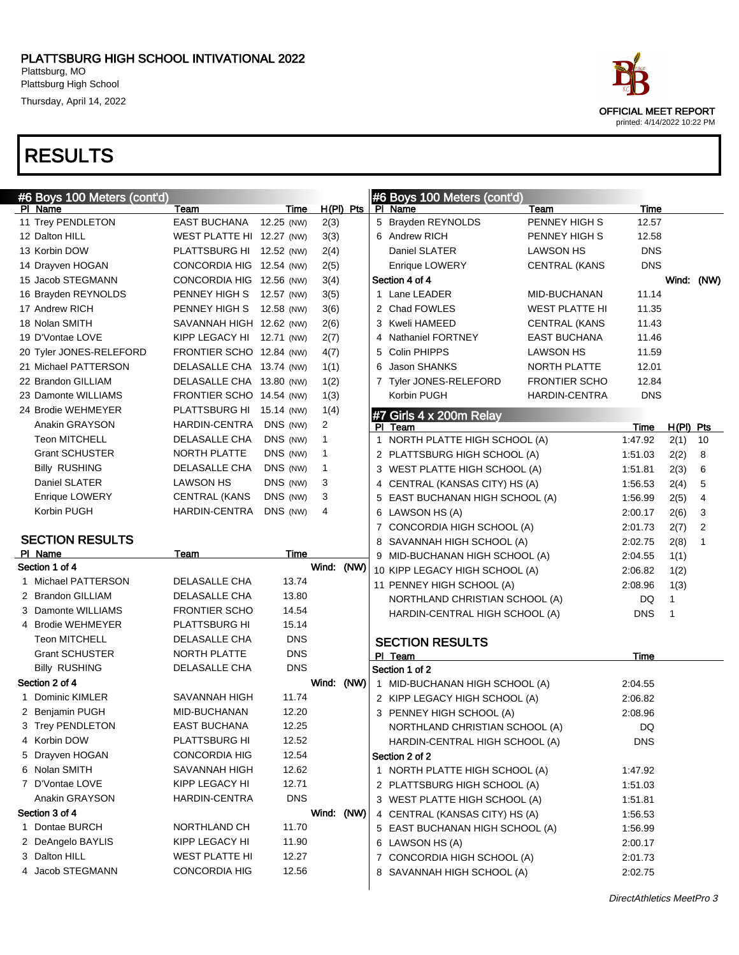Thursday, April 14, 2022

| #6 Boys 100 Meters (cont'd) |                           |             |                |              | #6 Boys 100 Meters (cont'd)        |                       |             |              |             |
|-----------------------------|---------------------------|-------------|----------------|--------------|------------------------------------|-----------------------|-------------|--------------|-------------|
| PI Name                     | Team                      | Time        | $H(PI)$ Pts    |              | PI Name                            | <b>Team</b>           | Time        |              |             |
| 11 Trey PENDLETON           | <b>EAST BUCHANA</b>       | 12.25 (NW)  | 2(3)           |              | 5 Brayden REYNOLDS                 | PENNEY HIGH S         | 12.57       |              |             |
| 12 Dalton HILL              | WEST PLATTE HI 12.27 (NW) |             | 3(3)           |              | 6 Andrew RICH                      | PENNEY HIGH S         | 12.58       |              |             |
| 13 Korbin DOW               | PLATTSBURG HI 12.52 (NW)  |             | 2(4)           |              | Daniel SLATER                      | <b>LAWSON HS</b>      | <b>DNS</b>  |              |             |
| 14 Drayven HOGAN            | CONCORDIA HIG 12.54 (NW)  |             | 2(5)           |              | Enrique LOWERY                     | <b>CENTRAL (KANS</b>  | <b>DNS</b>  |              |             |
| 15 Jacob STEGMANN           | CONCORDIA HIG 12.56 (NW)  |             | 3(4)           |              | Section 4 of 4                     |                       |             |              | Wind: (NW)  |
| 16 Brayden REYNOLDS         | PENNEY HIGH S 12.57 (NW)  |             | 3(5)           |              | 1 Lane LEADER                      | MID-BUCHANAN          | 11.14       |              |             |
| 17 Andrew RICH              | PENNEY HIGH S             | 12.58 (NW)  | 3(6)           |              | 2 Chad FOWLES                      | <b>WEST PLATTE HI</b> | 11.35       |              |             |
| 18 Nolan SMITH              | SAVANNAH HIGH 12.62 (NW)  |             | 2(6)           |              | 3 Kweli HAMEED                     | <b>CENTRAL (KANS</b>  | 11.43       |              |             |
| 19 D'Vontae LOVE            | KIPP LEGACY HI 12.71 (NW) |             | 2(7)           | 4            | <b>Nathaniel FORTNEY</b>           | <b>EAST BUCHANA</b>   | 11.46       |              |             |
| 20 Tyler JONES-RELEFORD     | FRONTIER SCHO 12.84 (NW)  |             | 4(7)           |              | 5 Colin PHIPPS                     | <b>LAWSON HS</b>      | 11.59       |              |             |
| 21 Michael PATTERSON        | DELASALLE CHA 13.74 (NW)  |             | 1(1)           | 6            | Jason SHANKS                       | NORTH PLATTE          | 12.01       |              |             |
| 22 Brandon GILLIAM          | DELASALLE CHA 13.80 (NW)  |             | 1(2)           |              | 7 Tyler JONES-RELEFORD             | <b>FRONTIER SCHO</b>  | 12.84       |              |             |
| 23 Damonte WILLIAMS         | FRONTIER SCHO 14.54 (NW)  |             | 1(3)           |              | Korbin PUGH                        | <b>HARDIN-CENTRA</b>  | <b>DNS</b>  |              |             |
| 24 Brodie WEHMEYER          | PLATTSBURG HI 15.14 (NW)  |             | 1(4)           |              |                                    |                       |             |              |             |
| Anakin GRAYSON              | HARDIN-CENTRA             | DNS (NW)    | $\overline{2}$ |              | #7 Girls 4 x 200m Relay<br>PI Team |                       | <b>Time</b> | $H(PI)$ Pts  |             |
| <b>Teon MITCHELL</b>        | DELASALLE CHA             | DNS (NW)    | 1              | $\mathbf{1}$ | NORTH PLATTE HIGH SCHOOL (A)       |                       | 1:47.92     | 2(1)         | 10          |
| <b>Grant SCHUSTER</b>       | NORTH PLATTE              | DNS (NW)    | 1              |              | 2 PLATTSBURG HIGH SCHOOL (A)       |                       | 1:51.03     | 2(2)         | 8           |
| <b>Billy RUSHING</b>        | DELASALLE CHA             | DNS (NW)    | $\mathbf{1}$   |              | 3 WEST PLATTE HIGH SCHOOL (A)      |                       | 1:51.81     | 2(3)         | 6           |
| Daniel SLATER               | <b>LAWSON HS</b>          | DNS (NW)    | 3              |              | 4 CENTRAL (KANSAS CITY) HS (A)     |                       | 1:56.53     | 2(4)         | 5           |
| Enrique LOWERY              | <b>CENTRAL (KANS</b>      | DNS (NW)    | 3              | 5            | EAST BUCHANAN HIGH SCHOOL (A)      |                       | 1:56.99     | 2(5)         | 4           |
| Korbin PUGH                 | HARDIN-CENTRA             | DNS (NW)    | 4              |              | 6 LAWSON HS (A)                    |                       | 2:00.17     | 2(6)         | 3           |
|                             |                           |             |                |              | 7 CONCORDIA HIGH SCHOOL (A)        |                       | 2:01.73     | 2(7)         | 2           |
| <b>SECTION RESULTS</b>      |                           |             |                |              | 8 SAVANNAH HIGH SCHOOL (A)         |                       | 2:02.75     | 2(8)         | $\mathbf 1$ |
| PI Name                     | Team                      | <b>Time</b> |                |              | 9 MID-BUCHANAN HIGH SCHOOL (A)     |                       | 2:04.55     | 1(1)         |             |
| Section 1 of 4              |                           |             | Wind: (NW)     |              | 10 KIPP LEGACY HIGH SCHOOL (A)     |                       | 2:06.82     | 1(2)         |             |
| 1 Michael PATTERSON         | DELASALLE CHA             | 13.74       |                |              | 11 PENNEY HIGH SCHOOL (A)          |                       | 2:08.96     | 1(3)         |             |
| 2 Brandon GILLIAM           | DELASALLE CHA             | 13.80       |                |              | NORTHLAND CHRISTIAN SCHOOL (A)     |                       | DQ          | $\mathbf{1}$ |             |
| 3 Damonte WILLIAMS          | <b>FRONTIER SCHO</b>      | 14.54       |                |              | HARDIN-CENTRAL HIGH SCHOOL (A)     |                       | <b>DNS</b>  | 1            |             |
| 4 Brodie WEHMEYER           | PLATTSBURG HI             | 15.14       |                |              |                                    |                       |             |              |             |
| <b>Teon MITCHELL</b>        | DELASALLE CHA             | <b>DNS</b>  |                |              | <b>SECTION RESULTS</b>             |                       |             |              |             |
| <b>Grant SCHUSTER</b>       | <b>NORTH PLATTE</b>       | <b>DNS</b>  |                |              | PI Team                            |                       | Time        |              |             |
| <b>Billy RUSHING</b>        | DELASALLE CHA             | <b>DNS</b>  |                |              | Section 1 of 2                     |                       |             |              |             |
| Section 2 of 4              |                           |             | Wind: (NW)     |              | 1 MID-BUCHANAN HIGH SCHOOL (A)     |                       | 2:04.55     |              |             |
| 1 Dominic KIMLER            | SAVANNAH HIGH             | 11.74       |                |              | 2 KIPP LEGACY HIGH SCHOOL (A)      |                       | 2:06.82     |              |             |
| 2 Benjamin PUGH             | MID-BUCHANAN              | 12.20       |                |              | 3 PENNEY HIGH SCHOOL (A)           |                       | 2:08.96     |              |             |
| 3 Trey PENDLETON            | <b>EAST BUCHANA</b>       | 12.25       |                |              | NORTHLAND CHRISTIAN SCHOOL (A)     |                       | DQ          |              |             |
| 4 Korbin DOW                | PLATTSBURG HI             | 12.52       |                |              | HARDIN-CENTRAL HIGH SCHOOL (A)     |                       | <b>DNS</b>  |              |             |
| 5 Drayven HOGAN             | <b>CONCORDIA HIG</b>      | 12.54       |                |              | Section 2 of 2                     |                       |             |              |             |
| 6 Nolan SMITH               | SAVANNAH HIGH             | 12.62       |                |              | 1 NORTH PLATTE HIGH SCHOOL (A)     |                       | 1:47.92     |              |             |
| 7 D'Vontae LOVE             | KIPP LEGACY HI            | 12.71       |                |              | 2 PLATTSBURG HIGH SCHOOL (A)       |                       | 1:51.03     |              |             |
| Anakin GRAYSON              | <b>HARDIN-CENTRA</b>      | <b>DNS</b>  |                |              | 3 WEST PLATTE HIGH SCHOOL (A)      |                       | 1:51.81     |              |             |
| Section 3 of 4              |                           |             | Wind: (NW)     |              | 4 CENTRAL (KANSAS CITY) HS (A)     |                       | 1:56.53     |              |             |
| 1 Dontae BURCH              | NORTHLAND CH              | 11.70       |                |              | 5 EAST BUCHANAN HIGH SCHOOL (A)    |                       | 1:56.99     |              |             |
| 2 DeAngelo BAYLIS           | KIPP LEGACY HI            | 11.90       |                |              | 6 LAWSON HS (A)                    |                       | 2:00.17     |              |             |
| 3 Dalton HILL               | <b>WEST PLATTE HI</b>     | 12.27       |                |              | 7 CONCORDIA HIGH SCHOOL (A)        |                       | 2:01.73     |              |             |
| 4 Jacob STEGMANN            | <b>CONCORDIA HIG</b>      | 12.56       |                |              | 8 SAVANNAH HIGH SCHOOL (A)         |                       | 2:02.75     |              |             |
|                             |                           |             |                |              |                                    |                       |             |              |             |

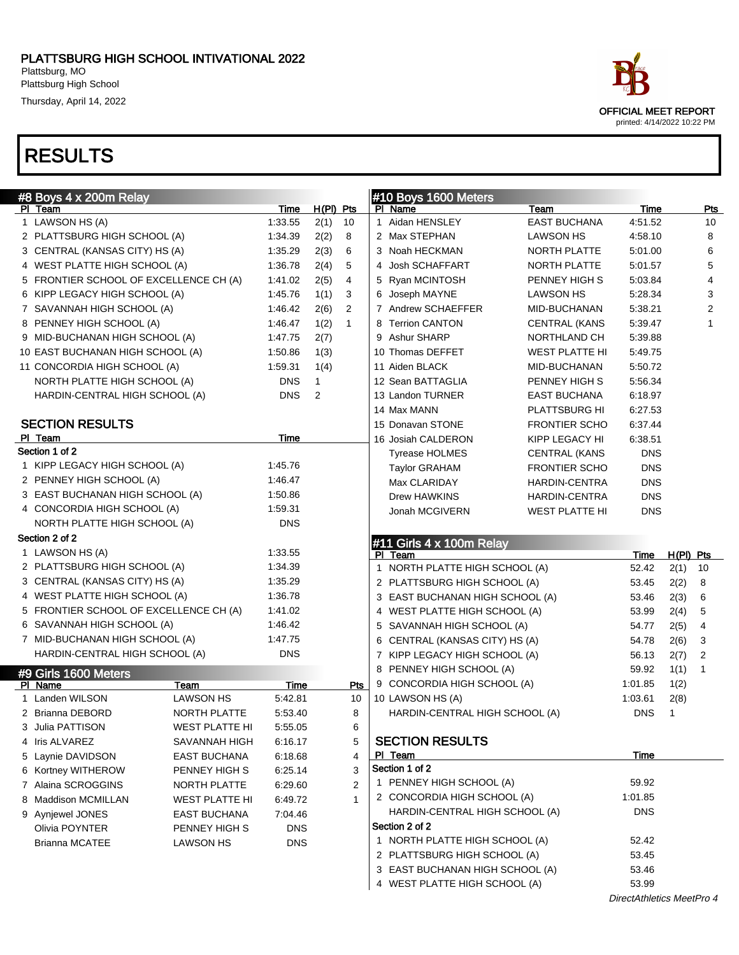Thursday, April 14, 2022

### RESULTS

| #8 Boys 4 x 200m Relay                       |            |             |              | #10 Boys 1600 Meters            |                       |             |              |     |
|----------------------------------------------|------------|-------------|--------------|---------------------------------|-----------------------|-------------|--------------|-----|
| PI Team                                      | Time       | $H(PI)$ Pts |              | PI Name                         | Team                  | <b>Time</b> |              | Pts |
| 1 LAWSON HS (A)                              | 1:33.55    | 2(1)        | 10           | 1 Aidan HENSLEY                 | <b>EAST BUCHANA</b>   | 4:51.52     |              | 10  |
| 2 PLATTSBURG HIGH SCHOOL (A)                 | 1:34.39    | 2(2)        | 8            | 2 Max STEPHAN                   | <b>LAWSON HS</b>      | 4:58.10     |              | 8   |
| 3 CENTRAL (KANSAS CITY) HS (A)               | 1:35.29    | 2(3)        | 6            | 3 Noah HECKMAN                  | NORTH PLATTE          | 5:01.00     |              | 6   |
| 4 WEST PLATTE HIGH SCHOOL (A)                | 1:36.78    | 2(4)        | 5            | 4 Josh SCHAFFART                | NORTH PLATTE          | 5:01.57     |              | 5   |
| 5 FRONTIER SCHOOL OF EXCELLENCE CH (A)       | 1:41.02    | 2(5)        | 4            | 5 Ryan MCINTOSH                 | PENNEY HIGH S         | 5:03.84     |              | 4   |
| 6 KIPP LEGACY HIGH SCHOOL (A)                | 1:45.76    | 1(1)        | 3            | 6 Joseph MAYNE                  | <b>LAWSON HS</b>      | 5:28.34     |              | 3   |
| 7 SAVANNAH HIGH SCHOOL (A)                   | 1:46.42    | 2(6)        | 2            | 7 Andrew SCHAEFFER              | MID-BUCHANAN          | 5:38.21     |              | 2   |
| 8 PENNEY HIGH SCHOOL (A)                     | 1:46.47    | 1(2)        | $\mathbf{1}$ | 8 Terrion CANTON                | <b>CENTRAL (KANS</b>  | 5:39.47     |              | 1   |
| 9 MID-BUCHANAN HIGH SCHOOL (A)               | 1:47.75    | 2(7)        |              | 9 Ashur SHARP                   | NORTHLAND CH          | 5:39.88     |              |     |
| 10 EAST BUCHANAN HIGH SCHOOL (A)             | 1:50.86    | 1(3)        |              | 10 Thomas DEFFET                | WEST PLATTE HI        | 5:49.75     |              |     |
| 11 CONCORDIA HIGH SCHOOL (A)                 | 1:59.31    | 1(4)        |              | 11 Aiden BLACK                  | MID-BUCHANAN          | 5:50.72     |              |     |
| NORTH PLATTE HIGH SCHOOL (A)                 | <b>DNS</b> | 1           |              | 12 Sean BATTAGLIA               | PENNEY HIGH S         | 5:56.34     |              |     |
| HARDIN-CENTRAL HIGH SCHOOL (A)               | <b>DNS</b> | 2           |              | 13 Landon TURNER                | <b>EAST BUCHANA</b>   | 6:18.97     |              |     |
|                                              |            |             |              | 14 Max MANN                     | PLATTSBURG HI         | 6:27.53     |              |     |
| <b>SECTION RESULTS</b>                       |            |             |              | 15 Donavan STONE                | <b>FRONTIER SCHO</b>  | 6:37.44     |              |     |
| PI Team                                      | Time       |             |              | 16 Josiah CALDERON              | KIPP LEGACY HI        | 6:38.51     |              |     |
| Section 1 of 2                               |            |             |              | <b>Tyrease HOLMES</b>           | <b>CENTRAL (KANS</b>  | <b>DNS</b>  |              |     |
| 1 KIPP LEGACY HIGH SCHOOL (A)                | 1:45.76    |             |              | <b>Taylor GRAHAM</b>            | <b>FRONTIER SCHO</b>  | <b>DNS</b>  |              |     |
| 2 PENNEY HIGH SCHOOL (A)                     | 1:46.47    |             |              | Max CLARIDAY                    | <b>HARDIN-CENTRA</b>  | <b>DNS</b>  |              |     |
| 3 EAST BUCHANAN HIGH SCHOOL (A)              | 1:50.86    |             |              | <b>Drew HAWKINS</b>             | <b>HARDIN-CENTRA</b>  | <b>DNS</b>  |              |     |
| 4 CONCORDIA HIGH SCHOOL (A)                  | 1:59.31    |             |              | Jonah MCGIVERN                  | <b>WEST PLATTE HI</b> | <b>DNS</b>  |              |     |
| NORTH PLATTE HIGH SCHOOL (A)                 | <b>DNS</b> |             |              |                                 |                       |             |              |     |
| Section 2 of 2                               |            |             |              | #11 Girls 4 x 100m Relay        |                       |             |              |     |
|                                              |            |             |              |                                 |                       |             |              |     |
| 1 LAWSON HS (A)                              | 1:33.55    |             |              | PI Team                         |                       | Time        | $H(PI)$ Pts  |     |
| 2 PLATTSBURG HIGH SCHOOL (A)                 | 1:34.39    |             |              | 1 NORTH PLATTE HIGH SCHOOL (A)  |                       | 52.42       | 2(1)         | 10  |
| 3 CENTRAL (KANSAS CITY) HS (A)               | 1:35.29    |             |              | 2 PLATTSBURG HIGH SCHOOL (A)    |                       | 53.45       | 2(2)         | 8   |
| 4 WEST PLATTE HIGH SCHOOL (A)                | 1:36.78    |             |              | 3 EAST BUCHANAN HIGH SCHOOL (A) |                       | 53.46       | 2(3)         | 6   |
| 5 FRONTIER SCHOOL OF EXCELLENCE CH (A)       | 1:41.02    |             |              | 4 WEST PLATTE HIGH SCHOOL (A)   |                       | 53.99       | 2(4)         | 5   |
| 6 SAVANNAH HIGH SCHOOL (A)                   | 1:46.42    |             |              | 5 SAVANNAH HIGH SCHOOL (A)      |                       | 54.77       | 2(5)         | 4   |
| 7 MID-BUCHANAN HIGH SCHOOL (A)               | 1:47.75    |             |              | 6 CENTRAL (KANSAS CITY) HS (A)  |                       | 54.78       | 2(6)         | 3   |
| HARDIN-CENTRAL HIGH SCHOOL (A)               | <b>DNS</b> |             |              | 7 KIPP LEGACY HIGH SCHOOL (A)   |                       | 56.13       | 2(7)         | 2   |
|                                              |            |             |              | 8 PENNEY HIGH SCHOOL (A)        |                       | 59.92       | 1(1)         | 1   |
| #9 Girls 1600 Meters<br>PI Name<br>Team      | Time       |             | Pts          | 9 CONCORDIA HIGH SCHOOL (A)     |                       | 1:01.85     | 1(2)         |     |
| <b>LAWSON HS</b><br>1 Landen WILSON          | 5:42.81    |             | 10           | 10 LAWSON HS (A)                |                       | 1:03.61     | 2(8)         |     |
| NORTH PLATTE<br>2 Brianna DEBORD             | 5:53.40    |             | 8            | HARDIN-CENTRAL HIGH SCHOOL (A)  |                       | <b>DNS</b>  | $\mathbf{1}$ |     |
| 3 Julia PATTISON<br><b>WEST PLATTE HI</b>    | 5:55.05    |             | 6            |                                 |                       |             |              |     |
| 4 Iris ALVAREZ<br>SAVANNAH HIGH              | 6:16.17    |             | 5            | <b>SECTION RESULTS</b>          |                       |             |              |     |
| 5 Laynie DAVIDSON<br>EAST BUCHANA            | 6:18.68    |             | 4            | PI Team                         |                       | Time        |              |     |
| 6 Kortney WITHEROW<br>PENNEY HIGH S          | 6:25.14    |             | 3            | Section 1 of 2                  |                       |             |              |     |
| 7 Alaina SCROGGINS<br>NORTH PLATTE           | 6:29.60    |             | 2            | 1 PENNEY HIGH SCHOOL (A)        |                       | 59.92       |              |     |
| 8 Maddison MCMILLAN<br><b>WEST PLATTE HI</b> | 6:49.72    |             | $\mathbf 1$  | 2 CONCORDIA HIGH SCHOOL (A)     |                       | 1:01.85     |              |     |
| 9 Aynjewel JONES<br>EAST BUCHANA             | 7:04.46    |             |              | HARDIN-CENTRAL HIGH SCHOOL (A)  |                       | <b>DNS</b>  |              |     |
| Olivia POYNTER<br>PENNEY HIGH S              | <b>DNS</b> |             |              | Section 2 of 2                  |                       |             |              |     |
| <b>Brianna MCATEE</b><br><b>LAWSON HS</b>    | <b>DNS</b> |             |              | 1 NORTH PLATTE HIGH SCHOOL (A)  |                       | 52.42       |              |     |
|                                              |            |             |              | 2 PLATTSBURG HIGH SCHOOL (A)    |                       | 53.45       |              |     |
|                                              |            |             |              | 3 EAST BUCHANAN HIGH SCHOOL (A) |                       | 53.46       |              |     |



DirectAthletics MeetPro 4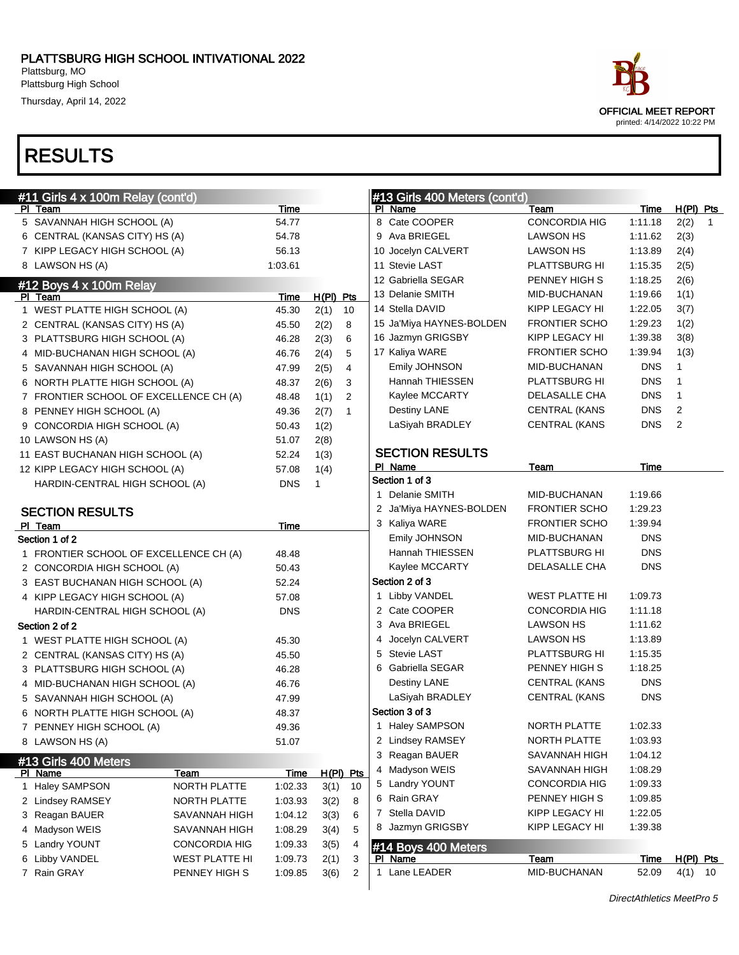Thursday, April 14, 2022

| ace                         |  |
|-----------------------------|--|
| OFFICIAL MEET REPORT        |  |
| printed: 4/14/2022 10:22 PM |  |

| #11 Girls 4 x 100m Relay (cont'd)      |                       |             |              |              |   | #13 Girls 400 Meters (cont'd) |                      |             |                |                |
|----------------------------------------|-----------------------|-------------|--------------|--------------|---|-------------------------------|----------------------|-------------|----------------|----------------|
| PI Team                                |                       | Time        |              |              |   | PI Name                       | Team                 | Time        | $H(PI)$ Pts    |                |
| 5 SAVANNAH HIGH SCHOOL (A)             |                       | 54.77       |              |              |   | 8 Cate COOPER                 | <b>CONCORDIA HIG</b> | 1:11.18     | 2(2)           | $\overline{1}$ |
| 6 CENTRAL (KANSAS CITY) HS (A)         |                       | 54.78       |              |              |   | 9 Ava BRIEGEL                 | LAWSON HS            | 1:11.62     | 2(3)           |                |
| 7 KIPP LEGACY HIGH SCHOOL (A)          |                       | 56.13       |              |              |   | 10 Jocelyn CALVERT            | LAWSON HS            | 1:13.89     | 2(4)           |                |
| 8 LAWSON HS (A)                        |                       | 1:03.61     |              |              |   | 11 Stevie LAST                | PLATTSBURG HI        | 1:15.35     | 2(5)           |                |
| #12 Boys 4 x 100m Relay                |                       |             |              |              |   | 12 Gabriella SEGAR            | PENNEY HIGH S        | 1:18.25     | 2(6)           |                |
| PI Team                                |                       | Time        | $H(PI)$ Pts  |              |   | 13 Delanie SMITH              | MID-BUCHANAN         | 1:19.66     | 1(1)           |                |
| 1 WEST PLATTE HIGH SCHOOL (A)          |                       | 45.30       | 2(1)         | 10           |   | 14 Stella DAVID               | KIPP LEGACY HI       | 1:22.05     | 3(7)           |                |
| 2 CENTRAL (KANSAS CITY) HS (A)         |                       | 45.50       | 2(2)         | 8            |   | 15 Ja'Miya HAYNES-BOLDEN      | <b>FRONTIER SCHO</b> | 1:29.23     | 1(2)           |                |
| 3 PLATTSBURG HIGH SCHOOL (A)           |                       | 46.28       | 2(3)         | 6            |   | 16 Jazmyn GRIGSBY             | KIPP LEGACY HI       | 1:39.38     | 3(8)           |                |
| 4 MID-BUCHANAN HIGH SCHOOL (A)         |                       | 46.76       | 2(4)         | 5            |   | 17 Kaliya WARE                | <b>FRONTIER SCHO</b> | 1:39.94     | 1(3)           |                |
| 5 SAVANNAH HIGH SCHOOL (A)             |                       | 47.99       | 2(5)         | 4            |   | Emily JOHNSON                 | MID-BUCHANAN         | <b>DNS</b>  | $\mathbf{1}$   |                |
| 6 NORTH PLATTE HIGH SCHOOL (A)         |                       | 48.37       | 2(6)         | 3            |   | Hannah THIESSEN               | PLATTSBURG HI        | <b>DNS</b>  | $\mathbf{1}$   |                |
| 7 FRONTIER SCHOOL OF EXCELLENCE CH (A) |                       | 48.48       | 1(1)         | 2            |   | Kaylee MCCARTY                | DELASALLE CHA        | <b>DNS</b>  | $\mathbf{1}$   |                |
| 8 PENNEY HIGH SCHOOL (A)               |                       | 49.36       | 2(7)         | $\mathbf{1}$ |   | Destiny LANE                  | <b>CENTRAL (KANS</b> | <b>DNS</b>  | $\overline{2}$ |                |
| 9 CONCORDIA HIGH SCHOOL (A)            |                       | 50.43       | 1(2)         |              |   | LaSiyah BRADLEY               | <b>CENTRAL (KANS</b> | <b>DNS</b>  | 2              |                |
| 10 LAWSON HS (A)                       |                       | 51.07       | 2(8)         |              |   |                               |                      |             |                |                |
| 11 EAST BUCHANAN HIGH SCHOOL (A)       |                       | 52.24       | 1(3)         |              |   | <b>SECTION RESULTS</b>        |                      |             |                |                |
| 12 KIPP LEGACY HIGH SCHOOL (A)         |                       | 57.08       | 1(4)         |              |   | PI Name                       | Team                 | Time        |                |                |
| HARDIN-CENTRAL HIGH SCHOOL (A)         |                       | <b>DNS</b>  | $\mathbf{1}$ |              |   | Section 1 of 3                |                      |             |                |                |
|                                        |                       |             |              |              |   | 1 Delanie SMITH               | MID-BUCHANAN         | 1:19.66     |                |                |
| <b>SECTION RESULTS</b>                 |                       |             |              |              |   | 2 Ja'Miya HAYNES-BOLDEN       | <b>FRONTIER SCHO</b> | 1:29.23     |                |                |
| PI Team                                |                       | Time        |              |              |   | 3 Kaliya WARE                 | <b>FRONTIER SCHO</b> | 1:39.94     |                |                |
| Section 1 of 2                         |                       |             |              |              |   | Emily JOHNSON                 | MID-BUCHANAN         | <b>DNS</b>  |                |                |
| 1 FRONTIER SCHOOL OF EXCELLENCE CH (A) |                       | 48.48       |              |              |   | Hannah THIESSEN               | PLATTSBURG HI        | <b>DNS</b>  |                |                |
| 2 CONCORDIA HIGH SCHOOL (A)            |                       | 50.43       |              |              |   | Kaylee MCCARTY                | DELASALLE CHA        | <b>DNS</b>  |                |                |
| 3 EAST BUCHANAN HIGH SCHOOL (A)        |                       | 52.24       |              |              |   | Section 2 of 3                |                      |             |                |                |
| 4 KIPP LEGACY HIGH SCHOOL (A)          |                       | 57.08       |              |              |   | 1 Libby VANDEL                | WEST PLATTE HI       | 1:09.73     |                |                |
| HARDIN-CENTRAL HIGH SCHOOL (A)         |                       | <b>DNS</b>  |              |              |   | 2 Cate COOPER                 | <b>CONCORDIA HIG</b> | 1:11.18     |                |                |
| Section 2 of 2                         |                       |             |              |              |   | 3 Ava BRIEGEL                 | LAWSON HS            | 1:11.62     |                |                |
| 1 WEST PLATTE HIGH SCHOOL (A)          |                       | 45.30       |              |              |   | 4 Jocelyn CALVERT             | LAWSON HS            | 1:13.89     |                |                |
| 2 CENTRAL (KANSAS CITY) HS (A)         |                       | 45.50       |              |              | 5 | Stevie LAST                   | PLATTSBURG HI        | 1:15.35     |                |                |
| 3 PLATTSBURG HIGH SCHOOL (A)           |                       | 46.28       |              |              |   | 6 Gabriella SEGAR             | PENNEY HIGH S        | 1:18.25     |                |                |
| 4 MID-BUCHANAN HIGH SCHOOL (A)         |                       | 46.76       |              |              |   | <b>Destiny LANE</b>           | <b>CENTRAL (KANS</b> | <b>DNS</b>  |                |                |
| 5 SAVANNAH HIGH SCHOOL (A)             |                       | 47.99       |              |              |   | LaSiyah BRADLEY               | <b>CENTRAL (KANS</b> | <b>DNS</b>  |                |                |
| 6 NORTH PLATTE HIGH SCHOOL (A)         |                       | 48.37       |              |              |   | Section 3 of 3                |                      |             |                |                |
| 7 PENNEY HIGH SCHOOL (A)               |                       | 49.36       |              |              |   | 1 Haley SAMPSON               | NORTH PLATTE         | 1:02.33     |                |                |
| 8 LAWSON HS (A)                        |                       | 51.07       |              |              |   | 2 Lindsey RAMSEY              | NORTH PLATTE         | 1:03.93     |                |                |
| #13 Girls 400 Meters                   |                       |             |              |              |   | 3 Reagan BAUER                | SAVANNAH HIGH        | 1:04.12     |                |                |
| <u>PI Name</u>                         | <u>Team</u>           | <u>Time</u> |              | $H(PI)$ Pts  |   | 4 Madyson WEIS                | SAVANNAH HIGH        | 1:08.29     |                |                |
| 1 Haley SAMPSON                        | NORTH PLATTE          | 1:02.33     | 3(1)         | 10           |   | 5 Landry YOUNT                | <b>CONCORDIA HIG</b> | 1:09.33     |                |                |
| 2 Lindsey RAMSEY                       | NORTH PLATTE          | 1:03.93     | 3(2)         | 8            |   | 6 Rain GRAY                   | PENNEY HIGH S        | 1:09.85     |                |                |
| 3 Reagan BAUER                         | SAVANNAH HIGH         | 1:04.12     | 3(3)         | 6            | 7 | Stella DAVID                  | KIPP LEGACY HI       | 1:22.05     |                |                |
| 4 Madyson WEIS                         | SAVANNAH HIGH         | 1:08.29     | 3(4)         | 5            | 8 | Jazmyn GRIGSBY                | KIPP LEGACY HI       | 1:39.38     |                |                |
| 5 Landry YOUNT                         | <b>CONCORDIA HIG</b>  | 1:09.33     | 3(5)         | 4            |   | #14 Boys 400 Meters           |                      |             |                |                |
| 6 Libby VANDEL                         | <b>WEST PLATTE HI</b> | 1:09.73     | 2(1)         | 3            |   | <b>PI</b> Name                | <b>Team</b>          | <u>Time</u> | H(PI) Pts      |                |
| 7 Rain GRAY                            | PENNEY HIGH S         | 1:09.85     | 3(6)         | 2            |   | 1 Lane LEADER                 | MID-BUCHANAN         | 52.09       | $4(1)$ 10      |                |
|                                        |                       |             |              |              |   |                               |                      |             |                |                |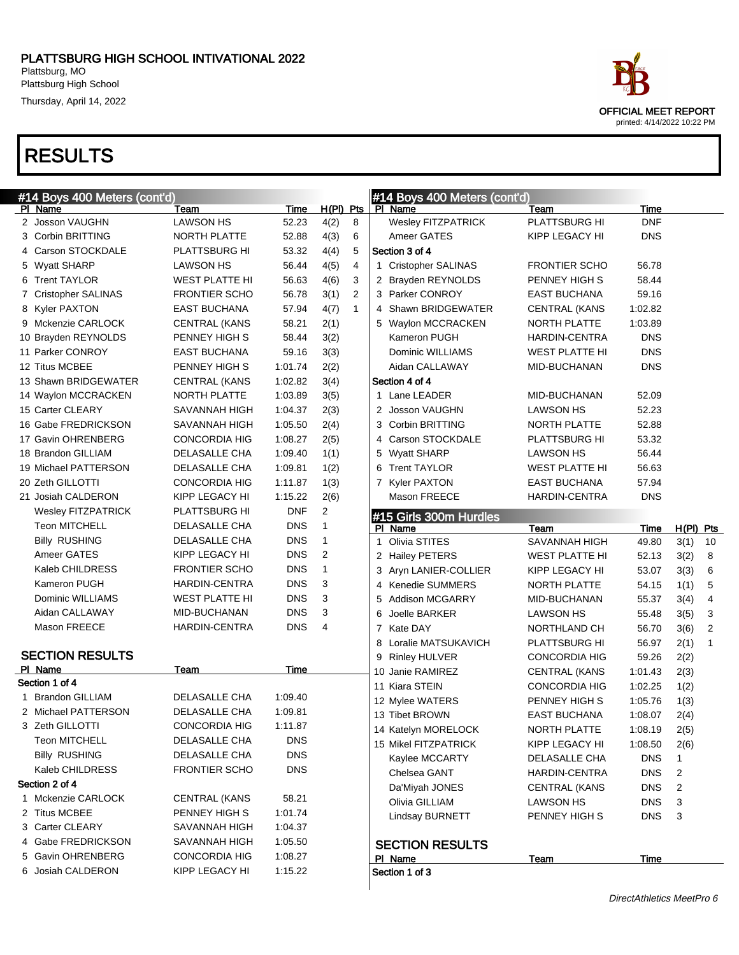Thursday, April 14, 2022

### RESULTS

5 Gavin OHRENBERG CONCORDIA HIG 1:08.27 6 Josiah CALDERON KIPP LEGACY HI 1:15.22

| #14 Boys 400 Meters (cont'd) |                       |            |                |                | #14 Boys 400 Meters (cont'd) |                       |            |                |    |
|------------------------------|-----------------------|------------|----------------|----------------|------------------------------|-----------------------|------------|----------------|----|
| PI Name                      | Team                  | Time       | $H(PI)$ Pts    |                | PI Name                      | Team                  | Time       |                |    |
| 2 Josson VAUGHN              | <b>LAWSON HS</b>      | 52.23      | 4(2)           | 8              | Wesley FITZPATRICK           | PLATTSBURG HI         | <b>DNF</b> |                |    |
| 3 Corbin BRITTING            | NORTH PLATTE          | 52.88      | 4(3)           | 6              | Ameer GATES                  | KIPP LEGACY HI        | <b>DNS</b> |                |    |
| 4 Carson STOCKDALE           | <b>PLATTSBURG HI</b>  | 53.32      | 4(4)           | 5              | Section 3 of 4               |                       |            |                |    |
| 5 Wyatt SHARP                | LAWSON HS             | 56.44      | 4(5)           | 4              | 1 Cristopher SALINAS         | <b>FRONTIER SCHO</b>  | 56.78      |                |    |
| 6 Trent TAYLOR               | <b>WEST PLATTE HI</b> | 56.63      | 4(6)           | 3              | 2 Brayden REYNOLDS           | PENNEY HIGH S         | 58.44      |                |    |
| 7 Cristopher SALINAS         | <b>FRONTIER SCHO</b>  | 56.78      | 3(1)           | $\overline{2}$ | 3 Parker CONROY              | <b>EAST BUCHANA</b>   | 59.16      |                |    |
| 8 Kyler PAXTON               | <b>EAST BUCHANA</b>   | 57.94      | 4(7)           | $\mathbf{1}$   | 4 Shawn BRIDGEWATER          | <b>CENTRAL (KANS</b>  | 1:02.82    |                |    |
| 9 Mckenzie CARLOCK           | <b>CENTRAL (KANS</b>  | 58.21      | 2(1)           |                | 5 Waylon MCCRACKEN           | NORTH PLATTE          | 1:03.89    |                |    |
| 10 Brayden REYNOLDS          | PENNEY HIGH S         | 58.44      | 3(2)           |                | Kameron PUGH                 | <b>HARDIN-CENTRA</b>  | <b>DNS</b> |                |    |
| 11 Parker CONROY             | <b>EAST BUCHANA</b>   | 59.16      | 3(3)           |                | Dominic WILLIAMS             | <b>WEST PLATTE HI</b> | <b>DNS</b> |                |    |
| 12 Titus MCBEE               | PENNEY HIGH S         | 1:01.74    | 2(2)           |                | Aidan CALLAWAY               | MID-BUCHANAN          | <b>DNS</b> |                |    |
| 13 Shawn BRIDGEWATER         | <b>CENTRAL (KANS</b>  | 1:02.82    | 3(4)           |                | Section 4 of 4               |                       |            |                |    |
| 14 Waylon MCCRACKEN          | NORTH PLATTE          | 1:03.89    | 3(5)           |                | 1 Lane LEADER                | MID-BUCHANAN          | 52.09      |                |    |
| 15 Carter CLEARY             | SAVANNAH HIGH         | 1:04.37    | 2(3)           |                | 2 Josson VAUGHN              | <b>LAWSON HS</b>      | 52.23      |                |    |
| 16 Gabe FREDRICKSON          | SAVANNAH HIGH         | 1:05.50    | 2(4)           |                | 3 Corbin BRITTING            | NORTH PLATTE          | 52.88      |                |    |
| 17 Gavin OHRENBERG           | <b>CONCORDIA HIG</b>  | 1:08.27    | 2(5)           |                | 4 Carson STOCKDALE           | PLATTSBURG HI         | 53.32      |                |    |
| 18 Brandon GILLIAM           | DELASALLE CHA         | 1:09.40    | 1(1)           |                | 5 Wyatt SHARP                | <b>LAWSON HS</b>      | 56.44      |                |    |
| 19 Michael PATTERSON         | DELASALLE CHA         | 1:09.81    | 1(2)           |                | 6 Trent TAYLOR               | <b>WEST PLATTE HI</b> | 56.63      |                |    |
| 20 Zeth GILLOTTI             | <b>CONCORDIA HIG</b>  | 1:11.87    | 1(3)           |                | 7 Kyler PAXTON               | <b>EAST BUCHANA</b>   | 57.94      |                |    |
| 21 Josiah CALDERON           | KIPP LEGACY HI        | 1:15.22    | 2(6)           |                | Mason FREECE                 | <b>HARDIN-CENTRA</b>  | <b>DNS</b> |                |    |
| <b>Wesley FITZPATRICK</b>    | PLATTSBURG HI         | <b>DNF</b> | $\overline{c}$ |                | #15 Girls 300m Hurdles       |                       |            |                |    |
| <b>Teon MITCHELL</b>         | DELASALLE CHA         | <b>DNS</b> | 1              |                | PI Name                      | Team                  | Time       | $H(PI)$ Pts    |    |
| <b>Billy RUSHING</b>         | DELASALLE CHA         | <b>DNS</b> | $\mathbf{1}$   |                | Olivia STITES                | <b>SAVANNAH HIGH</b>  | 49.80      | 3(1)           | 10 |
| Ameer GATES                  | KIPP LEGACY HI        | <b>DNS</b> | 2              |                | 2 Hailey PETERS              | WEST PLATTE HI        | 52.13      | 3(2)           | 8  |
| Kaleb CHILDRESS              | <b>FRONTIER SCHO</b>  | <b>DNS</b> | 1              |                | 3 Aryn LANIER-COLLIER        | KIPP LEGACY HI        | 53.07      | 3(3)           | 6  |
| Kameron PUGH                 | HARDIN-CENTRA         | <b>DNS</b> | 3              |                | 4 Kenedie SUMMERS            | NORTH PLATTE          | 54.15      | 1(1)           | 5  |
| Dominic WILLIAMS             | <b>WEST PLATTE HI</b> | <b>DNS</b> | 3              |                | <b>Addison MCGARRY</b><br>5  | MID-BUCHANAN          | 55.37      | 3(4)           | 4  |
| Aidan CALLAWAY               | MID-BUCHANAN          | <b>DNS</b> | 3              |                | Joelle BARKER<br>6           | <b>LAWSON HS</b>      | 55.48      | 3(5)           | 3  |
| Mason FREECE                 | <b>HARDIN-CENTRA</b>  | <b>DNS</b> | 4              |                | 7 Kate DAY                   | NORTHLAND CH          | 56.70      | 3(6)           | 2  |
|                              |                       |            |                |                | 8 Loralie MATSUKAVICH        | <b>PLATTSBURG HI</b>  | 56.97      | 2(1)           | 1  |
| <b>SECTION RESULTS</b>       |                       |            |                |                | 9 Rinley HULVER              | <b>CONCORDIA HIG</b>  | 59.26      | 2(2)           |    |
| PI Name                      | Team                  | Time       |                |                | 10 Janie RAMIREZ             | <b>CENTRAL (KANS</b>  | 1:01.43    | 2(3)           |    |
| Section 1 of 4               |                       |            |                |                | 11 Kiara STEIN               | <b>CONCORDIA HIG</b>  | 1:02.25    | 1(2)           |    |
| <b>Brandon GILLIAM</b><br>1  | DELASALLE CHA         | 1:09.40    |                |                | 12 Mylee WATERS              | PENNEY HIGH S         | 1:05.76    | 1(3)           |    |
| 2 Michael PATTERSON          | DELASALLE CHA         | 1:09.81    |                |                | 13 Tibet BROWN               | <b>EAST BUCHANA</b>   | 1:08.07    | 2(4)           |    |
| 3 Zeth GILLOTTI              | <b>CONCORDIA HIG</b>  | 1:11.87    |                |                | 14 Katelyn MORELOCK          | NORTH PLATTE          | 1:08.19    | 2(5)           |    |
| <b>Teon MITCHELL</b>         | DELASALLE CHA         | <b>DNS</b> |                |                | 15 Mikel FITZPATRICK         | KIPP LEGACY HI        | 1:08.50    | 2(6)           |    |
| <b>Billy RUSHING</b>         | DELASALLE CHA         | <b>DNS</b> |                |                | Kaylee MCCARTY               | DELASALLE CHA         | <b>DNS</b> | $\mathbf{1}$   |    |
| Kaleb CHILDRESS              | <b>FRONTIER SCHO</b>  | <b>DNS</b> |                |                | Chelsea GANT                 | HARDIN-CENTRA         | DNS        | 2              |    |
| Section 2 of 4               |                       |            |                |                | Da'Miyah JONES               | <b>CENTRAL (KANS</b>  | <b>DNS</b> | $\overline{2}$ |    |
| 1 Mckenzie CARLOCK           | <b>CENTRAL (KANS</b>  | 58.21      |                |                |                              |                       |            |                |    |
| 2 Titus MCBEE                | PENNEY HIGH S         | 1:01.74    |                |                | Olivia GILLIAM               | LAWSON HS             | <b>DNS</b> | 3              |    |
|                              |                       | 1:04.37    |                |                | Lindsay BURNETT              | PENNEY HIGH S         | <b>DNS</b> | 3              |    |
| 3 Carter CLEARY              | SAVANNAH HIGH         |            |                |                |                              |                       |            |                |    |

### SECTION RESULTS

PI Name Team Team Time

Section 1 of 3

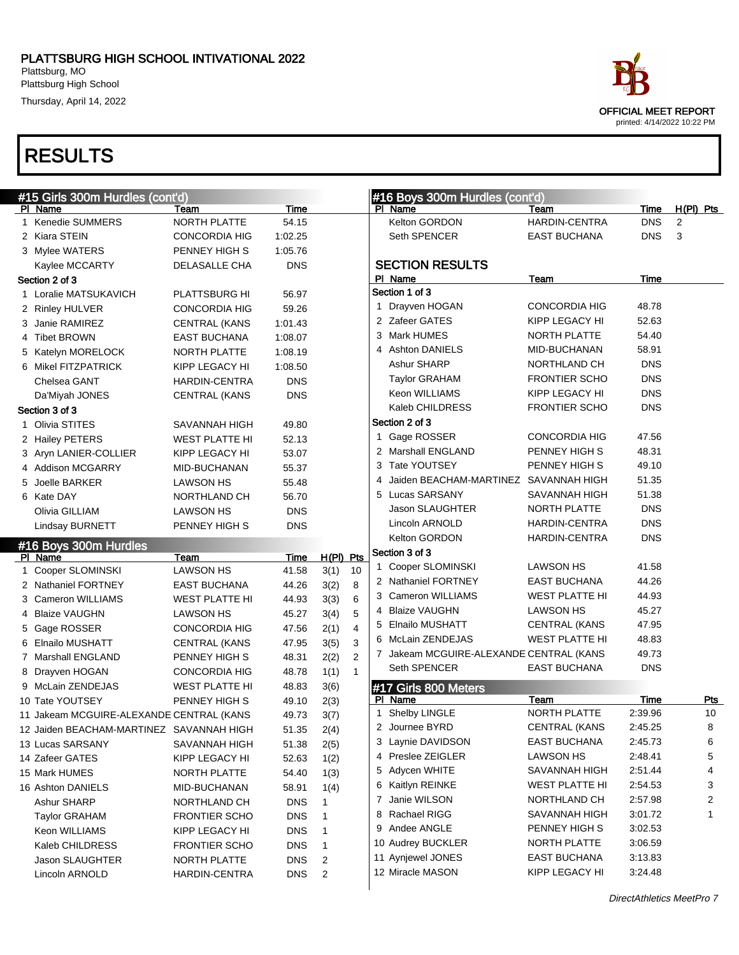Thursday, April 14, 2022

| ace                         |
|-----------------------------|
| <b>OFFICIAL MEET REPORT</b> |
| printed: 4/14/2022 10:22 PM |

|   | #15 Girls 300m Hurdles (cont'd)          |                                      |                          |                     |                         | #16 Boys 300m Hurdles (cont'd)          |                                       |                    |                  |
|---|------------------------------------------|--------------------------------------|--------------------------|---------------------|-------------------------|-----------------------------------------|---------------------------------------|--------------------|------------------|
|   | PI Name                                  | Team                                 | <b>Time</b>              |                     |                         | PI Name                                 | Team                                  | Time               | H(PI) Pts        |
|   | Kenedie SUMMERS                          | <b>NORTH PLATTE</b>                  | 54.15                    |                     |                         | Kelton GORDON                           | <b>HARDIN-CENTRA</b>                  | <b>DNS</b>         | 2                |
|   | 2 Kiara STEIN                            | <b>CONCORDIA HIG</b>                 | 1:02.25                  |                     |                         | Seth SPENCER                            | EAST BUCHANA                          | <b>DNS</b>         | 3                |
|   | 3 Mylee WATERS                           | PENNEY HIGH S                        | 1:05.76                  |                     |                         |                                         |                                       |                    |                  |
|   | Kaylee MCCARTY                           | DELASALLE CHA                        | <b>DNS</b>               |                     |                         | <b>SECTION RESULTS</b>                  |                                       |                    |                  |
|   | Section 2 of 3                           |                                      |                          |                     |                         | PI Name                                 | Team                                  | Time               |                  |
|   | 1 Loralie MATSUKAVICH                    | PLATTSBURG HI                        | 56.97                    |                     |                         | Section 1 of 3                          |                                       |                    |                  |
|   | 2 Rinley HULVER                          | <b>CONCORDIA HIG</b>                 | 59.26                    |                     |                         | 1 Drayven HOGAN                         | <b>CONCORDIA HIG</b>                  | 48.78              |                  |
|   | 3 Janie RAMIREZ                          | <b>CENTRAL (KANS</b>                 | 1:01.43                  |                     |                         | 2 Zafeer GATES                          | KIPP LEGACY HI                        | 52.63              |                  |
|   | 4 Tibet BROWN                            | <b>EAST BUCHANA</b>                  | 1:08.07                  |                     |                         | 3 Mark HUMES                            | NORTH PLATTE                          | 54.40              |                  |
|   | 5 Katelyn MORELOCK                       | NORTH PLATTE                         | 1:08.19                  |                     |                         | 4 Ashton DANIELS                        | MID-BUCHANAN                          | 58.91              |                  |
|   | 6 Mikel FITZPATRICK                      | KIPP LEGACY HI                       | 1:08.50                  |                     |                         | Ashur SHARP                             | NORTHLAND CH                          | <b>DNS</b>         |                  |
|   | Chelsea GANT                             | <b>HARDIN-CENTRA</b>                 | <b>DNS</b>               |                     |                         | Taylor GRAHAM                           | <b>FRONTIER SCHO</b>                  | <b>DNS</b>         |                  |
|   | Da'Miyah JONES                           | <b>CENTRAL (KANS</b>                 | <b>DNS</b>               |                     |                         | Keon WILLIAMS                           | KIPP LEGACY HI                        | <b>DNS</b>         |                  |
|   | Section 3 of 3                           |                                      |                          |                     |                         | Kaleb CHILDRESS                         | <b>FRONTIER SCHO</b>                  | <b>DNS</b>         |                  |
|   | 1 Olivia STITES                          | SAVANNAH HIGH                        | 49.80                    |                     |                         | Section 2 of 3                          |                                       |                    |                  |
|   | 2 Hailey PETERS                          | <b>WEST PLATTE HI</b>                | 52.13                    |                     |                         | 1 Gage ROSSER                           | <b>CONCORDIA HIG</b>                  | 47.56              |                  |
|   | 3 Aryn LANIER-COLLIER                    | KIPP LEGACY HI                       | 53.07                    |                     |                         | 2 Marshall ENGLAND                      | PENNEY HIGH S                         | 48.31              |                  |
|   | 4 Addison MCGARRY                        | MID-BUCHANAN                         | 55.37                    |                     |                         | 3 Tate YOUTSEY                          | PENNEY HIGH S                         | 49.10              |                  |
|   | 5 Joelle BARKER                          | <b>LAWSON HS</b>                     | 55.48                    |                     |                         | 4 Jaiden BEACHAM-MARTINEZ SAVANNAH HIGH |                                       | 51.35              |                  |
|   | 6 Kate DAY                               | NORTHLAND CH                         | 56.70                    |                     |                         | 5 Lucas SARSANY                         | SAVANNAH HIGH                         | 51.38              |                  |
|   | Olivia GILLIAM                           | <b>LAWSON HS</b>                     | <b>DNS</b>               |                     |                         | Jason SLAUGHTER                         | NORTH PLATTE                          | <b>DNS</b>         |                  |
|   | Lindsay BURNETT                          | PENNEY HIGH S                        | <b>DNS</b>               |                     |                         | Lincoln ARNOLD                          | <b>HARDIN-CENTRA</b>                  | <b>DNS</b>         |                  |
|   |                                          |                                      |                          |                     |                         | Kelton GORDON                           | <b>HARDIN-CENTRA</b>                  | <b>DNS</b>         |                  |
|   |                                          |                                      |                          |                     |                         |                                         |                                       |                    |                  |
|   | #16 Boys 300m Hurdles                    |                                      |                          |                     |                         | Section 3 of 3                          |                                       |                    |                  |
|   | PI Name                                  | Team                                 | Time                     | $H(PI)$ Pts         |                         | 1 Cooper SLOMINSKI                      | <b>LAWSON HS</b>                      | 41.58              |                  |
|   | 1 Cooper SLOMINSKI                       | <b>LAWSON HS</b>                     | 41.58                    | 3(1)                | 10                      | 2 Nathaniel FORTNEY                     | <b>EAST BUCHANA</b>                   | 44.26              |                  |
|   | 2 Nathaniel FORTNEY                      | <b>EAST BUCHANA</b>                  | 44.26                    | 3(2)                | 8                       | 3 Cameron WILLIAMS                      | <b>WEST PLATTE HI</b>                 | 44.93              |                  |
|   | 3 Cameron WILLIAMS                       | <b>WEST PLATTE HI</b>                | 44.93                    | 3(3)                | 6                       | 4 Blaize VAUGHN                         | <b>LAWSON HS</b>                      | 45.27              |                  |
|   | 4 Blaize VAUGHN                          | <b>LAWSON HS</b>                     | 45.27                    | 3(4)                | 5                       | 5 Elnailo MUSHATT                       | <b>CENTRAL (KANS</b>                  | 47.95              |                  |
|   | 5 Gage ROSSER                            | <b>CONCORDIA HIG</b>                 | 47.56                    | 2(1)                | $\overline{\mathbf{4}}$ | 6 McLain ZENDEJAS                       | <b>WEST PLATTE HI</b>                 | 48.83              |                  |
| 6 | Elnailo MUSHATT                          | <b>CENTRAL (KANS</b>                 | 47.95                    | 3(5)                | 3                       | 7 Jakeam MCGUIRE-ALEXANDE CENTRAL (KANS |                                       | 49.73              |                  |
|   | 7 Marshall ENGLAND                       | PENNEY HIGH S                        | 48.31                    | 2(2)                | 2                       | Seth SPENCER                            | <b>EAST BUCHANA</b>                   | <b>DNS</b>         |                  |
|   | 8 Drayven HOGAN                          | <b>CONCORDIA HIG</b>                 | 48.78                    | 1(1)                | $\mathbf{1}$            |                                         |                                       |                    |                  |
|   | 9 McLain ZENDEJAS                        | <b>WEST PLATTE HI</b>                | 48.83                    | 3(6)                |                         | #17 Girls 800 Meters                    |                                       |                    |                  |
|   | 10 Tate YOUTSEY                          | PENNEY HIGH S                        | 49.10                    | 2(3)                |                         | PI Name                                 | Team<br>NORTH PLATTE                  | Time<br>2:39.96    | <b>Pts</b><br>10 |
|   | 11 Jakeam MCGUIRE-ALEXANDE CENTRAL (KANS |                                      | 49.73                    | 3(7)                |                         | 1 Shelby LINGLE                         |                                       |                    |                  |
|   | 12 Jaiden BEACHAM-MARTINEZ SAVANNAH HIGH |                                      | 51.35                    | 2(4)                |                         | 2 Journee BYRD                          | <b>CENTRAL (KANS</b>                  | 2:45.25            | 8                |
|   | 13 Lucas SARSANY                         | SAVANNAH HIGH                        | 51.38                    | 2(5)                |                         | 3 Laynie DAVIDSON                       | <b>EAST BUCHANA</b>                   | 2:45.73            | 6                |
|   | 14 Zafeer GATES                          | KIPP LEGACY HI                       | 52.63                    | 1(2)                |                         | 4 Preslee ZEIGLER                       | LAWSON HS                             | 2:48.41            | 5                |
|   | 15 Mark HUMES                            | NORTH PLATTE                         | 54.40                    | 1(3)                |                         | 5 Adycen WHITE                          | SAVANNAH HIGH                         | 2:51.44            | 4                |
|   | 16 Ashton DANIELS                        | MID-BUCHANAN                         | 58.91                    | 1(4)                |                         | 6 Kaitlyn REINKE                        | <b>WEST PLATTE HI</b>                 | 2:54.53            | 3                |
|   | Ashur SHARP                              | NORTHLAND CH                         | <b>DNS</b>               | 1                   |                         | 7 Janie WILSON                          | NORTHLAND CH                          | 2:57.98            | 2                |
|   | <b>Taylor GRAHAM</b>                     | <b>FRONTIER SCHO</b>                 | <b>DNS</b>               | 1                   |                         | 8 Rachael RIGG                          | SAVANNAH HIGH                         | 3:01.72            | 1                |
|   | Keon WILLIAMS                            | KIPP LEGACY HI                       | <b>DNS</b>               | 1                   |                         | 9 Andee ANGLE                           | PENNEY HIGH S                         | 3:02.53            |                  |
|   | Kaleb CHILDRESS                          | <b>FRONTIER SCHO</b>                 | <b>DNS</b>               | 1                   |                         | 10 Audrey BUCKLER                       | NORTH PLATTE                          | 3:06.59            |                  |
|   | Jason SLAUGHTER<br>Lincoln ARNOLD        | NORTH PLATTE<br><b>HARDIN-CENTRA</b> | <b>DNS</b><br><b>DNS</b> | $\overline{2}$<br>2 |                         | 11 Aynjewel JONES<br>12 Miracle MASON   | <b>EAST BUCHANA</b><br>KIPP LEGACY HI | 3:13.83<br>3:24.48 |                  |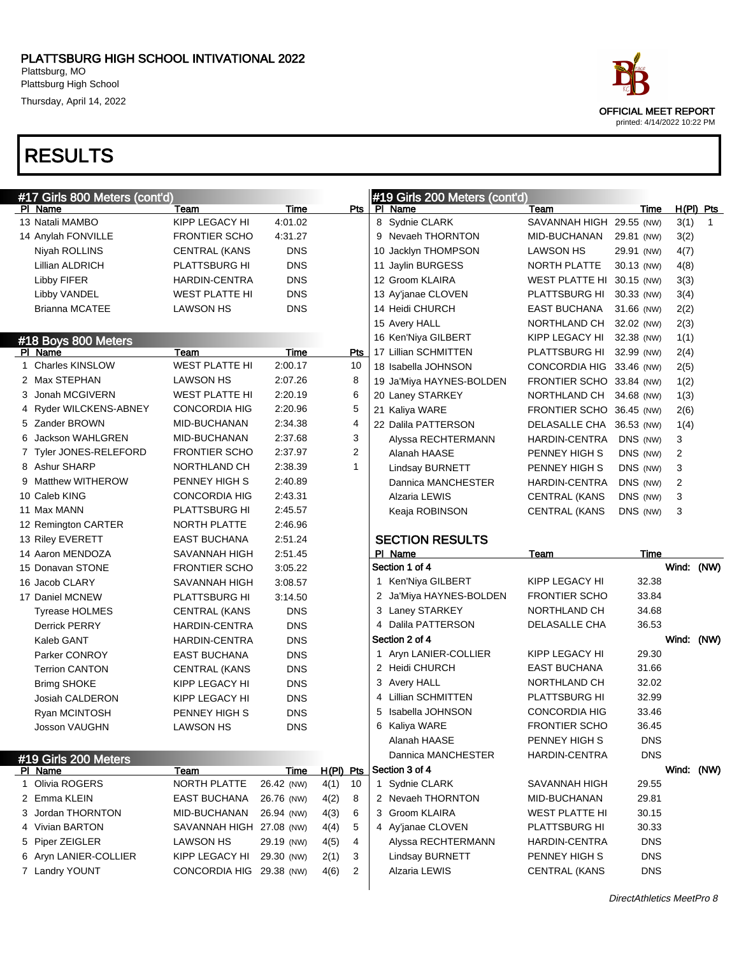Thursday, April 14, 2022

## RESULTS

|   | #17 Girls 800 Meters (cont'd) |                          |            |                        | #19 Girls 200 Meters (cont'd) |                           |            |            |   |
|---|-------------------------------|--------------------------|------------|------------------------|-------------------------------|---------------------------|------------|------------|---|
|   | PI Name                       | Team                     | Time       | Pts                    | PI Name                       | Team                      | Time       | H(PI) Pts  |   |
|   | 13 Natali MAMBO               | KIPP LEGACY HI           | 4:01.02    |                        | 8 Sydnie CLARK                | SAVANNAH HIGH 29.55 (NW)  |            | 3(1)       | 1 |
|   | 14 Anylah FONVILLE            | <b>FRONTIER SCHO</b>     | 4:31.27    |                        | 9 Nevaeh THORNTON             | MID-BUCHANAN              | 29.81 (NW) | 3(2)       |   |
|   | Niyah ROLLINS                 | <b>CENTRAL (KANS</b>     | <b>DNS</b> |                        | 10 Jacklyn THOMPSON           | LAWSON HS                 | 29.91 (NW) | 4(7)       |   |
|   | Lillian ALDRICH               | <b>PLATTSBURG HI</b>     | <b>DNS</b> |                        | 11 Jaylin BURGESS             | NORTH PLATTE              | 30.13 (NW) | 4(8)       |   |
|   | Libby FIFER                   | <b>HARDIN-CENTRA</b>     | <b>DNS</b> |                        | 12 Groom KLAIRA               | WEST PLATTE HI 30.15 (NW) |            | 3(3)       |   |
|   | Libby VANDEL                  | <b>WEST PLATTE HI</b>    | <b>DNS</b> |                        | 13 Ay'janae CLOVEN            | PLATTSBURG HI             | 30.33 (NW) | 3(4)       |   |
|   | <b>Brianna MCATEE</b>         | LAWSON HS                | <b>DNS</b> |                        | 14 Heidi CHURCH               | <b>EAST BUCHANA</b>       | 31.66 (NW) | 2(2)       |   |
|   |                               |                          |            |                        | 15 Avery HALL                 | NORTHLAND CH              | 32.02 (NW) | 2(3)       |   |
|   | #18 Boys 800 Meters           |                          |            |                        | 16 Ken'Niya GILBERT           | KIPP LEGACY HI            | 32.38 (NW) | 1(1)       |   |
|   | PI Name                       | Team                     | Time       | Pts                    | 17 Lillian SCHMITTEN          | PLATTSBURG HI             | 32.99 (NW) | 2(4)       |   |
|   | 1 Charles KINSLOW             | <b>WEST PLATTE HI</b>    | 2:00.17    | 10                     | 18 Isabella JOHNSON           | CONCORDIA HIG 33.46 (NW)  |            | 2(5)       |   |
|   | 2 Max STEPHAN                 | LAWSON HS                | 2:07.26    | 8                      | 19 Ja'Miya HAYNES-BOLDEN      | FRONTIER SCHO 33.84 (NW)  |            | 1(2)       |   |
|   | 3 Jonah MCGIVERN              | <b>WEST PLATTE HI</b>    | 2:20.19    | 6                      | 20 Laney STARKEY              | NORTHLAND CH              | 34.68 (NW) | 1(3)       |   |
|   | 4 Ryder WILCKENS-ABNEY        | <b>CONCORDIA HIG</b>     | 2:20.96    | 5                      | 21 Kaliya WARE                | FRONTIER SCHO 36.45 (NW)  |            | 2(6)       |   |
|   | 5 Zander BROWN                | MID-BUCHANAN             | 2:34.38    | $\overline{4}$         | 22 Dalila PATTERSON           | DELASALLE CHA 36.53 (NW)  |            | 1(4)       |   |
|   | 6 Jackson WAHLGREN            | MID-BUCHANAN             | 2:37.68    | 3                      | Alyssa RECHTERMANN            | HARDIN-CENTRA             | DNS (NW)   | 3          |   |
|   | 7 Tyler JONES-RELEFORD        | <b>FRONTIER SCHO</b>     | 2:37.97    | $\overline{2}$         | Alanah HAASE                  | PENNEY HIGH S             | DNS (NW)   | 2          |   |
|   | 8 Ashur SHARP                 | NORTHLAND CH             | 2:38.39    | $\mathbf{1}$           | Lindsay BURNETT               | PENNEY HIGH S             | DNS (NW)   | 3          |   |
|   | 9 Matthew WITHEROW            | PENNEY HIGH S            | 2:40.89    |                        | Dannica MANCHESTER            | HARDIN-CENTRA             | DNS (NW)   | 2          |   |
|   | 10 Caleb KING                 | CONCORDIA HIG            | 2:43.31    |                        | Alzaria LEWIS                 | <b>CENTRAL (KANS</b>      | DNS (NW)   | 3          |   |
|   | 11 Max MANN                   | <b>PLATTSBURG HI</b>     | 2:45.57    |                        | Keaja ROBINSON                | <b>CENTRAL (KANS</b>      | DNS (NW)   | 3          |   |
|   | 12 Remington CARTER           | NORTH PLATTE             | 2:46.96    |                        |                               |                           |            |            |   |
|   | 13 Riley EVERETT              | <b>EAST BUCHANA</b>      | 2:51.24    |                        | <b>SECTION RESULTS</b>        |                           |            |            |   |
|   |                               |                          |            |                        |                               |                           |            |            |   |
|   | 14 Aaron MENDOZA              | SAVANNAH HIGH            | 2:51.45    |                        | PI Name                       | Team                      | Time       |            |   |
|   | 15 Donavan STONE              | <b>FRONTIER SCHO</b>     | 3:05.22    |                        | Section 1 of 4                |                           |            | Wind: (NW) |   |
|   | 16 Jacob CLARY                | SAVANNAH HIGH            | 3:08.57    |                        | 1 Ken'Niya GILBERT            | KIPP LEGACY HI            | 32.38      |            |   |
|   | 17 Daniel MCNEW               | <b>PLATTSBURG HI</b>     | 3:14.50    |                        | 2 Ja'Miya HAYNES-BOLDEN       | <b>FRONTIER SCHO</b>      | 33.84      |            |   |
|   | <b>Tyrease HOLMES</b>         | <b>CENTRAL (KANS</b>     | <b>DNS</b> |                        | 3 Laney STARKEY               | NORTHLAND CH              | 34.68      |            |   |
|   | <b>Derrick PERRY</b>          | HARDIN-CENTRA            | <b>DNS</b> |                        | 4 Dalila PATTERSON            | DELASALLE CHA             | 36.53      |            |   |
|   | Kaleb GANT                    | HARDIN-CENTRA            | <b>DNS</b> |                        | Section 2 of 4                |                           |            | Wind: (NW) |   |
|   | Parker CONROY                 | <b>EAST BUCHANA</b>      | <b>DNS</b> |                        | 1 Aryn LANIER-COLLIER         | KIPP LEGACY HI            | 29.30      |            |   |
|   | <b>Terrion CANTON</b>         | <b>CENTRAL (KANS</b>     | <b>DNS</b> |                        | 2 Heidi CHURCH                | <b>EAST BUCHANA</b>       | 31.66      |            |   |
|   | <b>Brimg SHOKE</b>            | KIPP LEGACY HI           | <b>DNS</b> |                        | 3 Avery HALL                  | NORTHLAND CH              | 32.02      |            |   |
|   | Josiah CALDERON               | KIPP LEGACY HI           | <b>DNS</b> |                        | 4 Lillian SCHMITTEN           | PLATTSBURG HI             | 32.99      |            |   |
|   | Ryan MCINTOSH                 | PENNEY HIGH S            | <b>DNS</b> |                        | Isabella JOHNSON<br>5         | <b>CONCORDIA HIG</b>      | 33.46      |            |   |
|   | Josson VAUGHN                 | <b>LAWSON HS</b>         | <b>DNS</b> |                        | 6 Kaliya WARE                 | <b>FRONTIER SCHO</b>      | 36.45      |            |   |
|   |                               |                          |            |                        | Alanah HAASE                  | PENNEY HIGH S             | <b>DNS</b> |            |   |
|   | #19 Girls 200 Meters          |                          |            |                        | Dannica MANCHESTER            | <b>HARDIN-CENTRA</b>      | <b>DNS</b> |            |   |
|   | PI Name                       | Team                     | Time       | H(PI) Pts              | Section 3 of 4                |                           |            | Wind: (NW) |   |
| 1 | Olivia ROGERS                 | NORTH PLATTE             | 26.42 (NW) | 4(1)<br>10             | 1 Sydnie CLARK                | SAVANNAH HIGH             | 29.55      |            |   |
|   | 2 Emma KLEIN                  | <b>EAST BUCHANA</b>      | 26.76 (NW) | 4(2)<br>8              | 2 Nevaeh THORNTON             | MID-BUCHANAN              | 29.81      |            |   |
|   | 3 Jordan THORNTON             | MID-BUCHANAN             | 26.94 (NW) | 4(3)<br>6              | 3 Groom KLAIRA                | <b>WEST PLATTE HI</b>     | 30.15      |            |   |
|   | 4 Vivian BARTON               | SAVANNAH HIGH 27.08 (NW) |            | 5<br>4(4)              | 4 Ay'janae CLOVEN             | PLATTSBURG HI             | 30.33      |            |   |
|   | 5 Piper ZEIGLER               | LAWSON HS                | 29.19 (NW) | 4<br>4(5)              | Alyssa RECHTERMANN            | HARDIN-CENTRA             | <b>DNS</b> |            |   |
|   | 6 Aryn LANIER-COLLIER         | KIPP LEGACY HI           | 29.30 (NW) | 3<br>2(1)              | <b>Lindsay BURNETT</b>        | PENNEY HIGH S             | <b>DNS</b> |            |   |
|   | 7 Landry YOUNT                | CONCORDIA HIG 29.38 (NW) |            | $\overline{c}$<br>4(6) | Alzaria LEWIS                 | <b>CENTRAL (KANS</b>      | <b>DNS</b> |            |   |



DirectAthletics MeetPro 8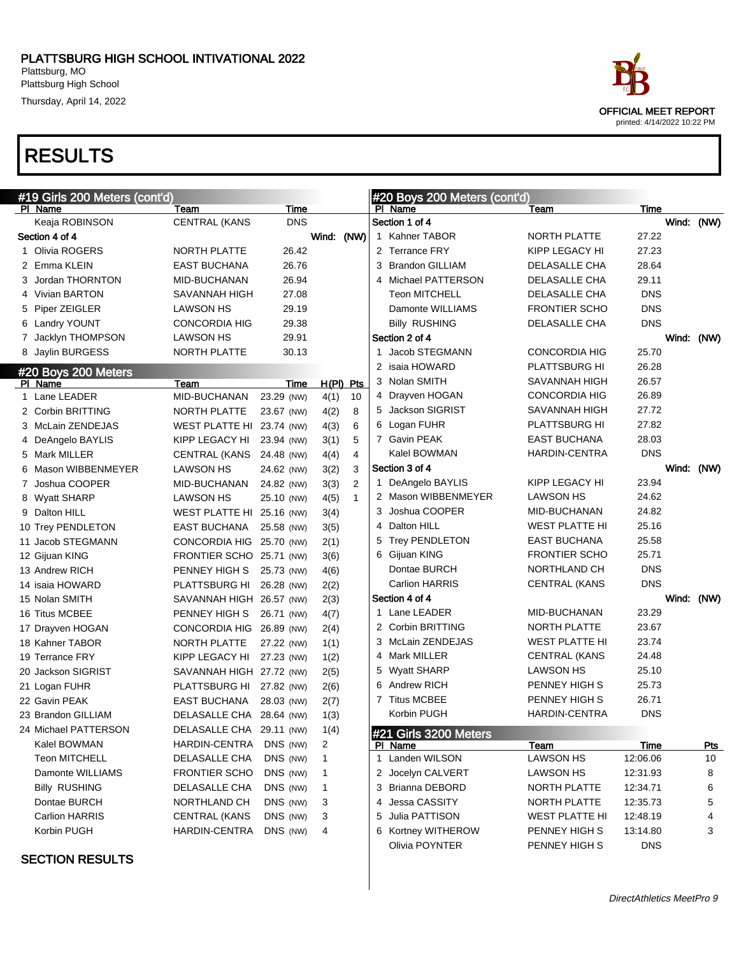Thursday, April 14, 2022

### RESULTS

| PI Name<br>Team<br>PI Name<br>Time<br>Keaja ROBINSON<br><b>CENTRAL (KANS</b><br><b>DNS</b><br>Section 1 of 4<br>Wind: (NW)<br>Section 4 of 4<br>1 Kahner TABOR<br>1 Olivia ROGERS<br>26.42<br>2 Terrance FRY<br>NORTH PLATTE<br>2 Emma KLEIN<br>26.76<br>3 Brandon GILLIAM<br><b>EAST BUCHANA</b><br>3 Jordan THORNTON<br>26.94<br>4 Michael PATTERSON<br>MID-BUCHANAN<br>4 Vivian BARTON<br><b>Teon MITCHELL</b><br>SAVANNAH HIGH<br>27.08<br>Damonte WILLIAMS<br>5 Piper ZEIGLER<br>LAWSON HS<br>29.19<br>29.38<br>6 Landry YOUNT<br><b>CONCORDIA HIG</b><br><b>Billy RUSHING</b><br>29.91<br>Section 2 of 4<br>7 Jacklyn THOMPSON<br>LAWSON HS<br>30.13<br>1 Jacob STEGMANN<br>8 Jaylin BURGESS<br>NORTH PLATTE<br>2 isaia HOWARD<br>#20 Boys 200 Meters<br>3 Nolan SMITH<br>PI Name<br>H(PI) Pts<br>Team<br>Time<br>4 Drayven HOGAN<br>1 Lane LEADER<br>MID-BUCHANAN<br>23.29 (NW)<br>4(1)<br>10<br>5 Jackson SIGRIST<br>2 Corbin BRITTING<br>4(2)<br>8<br>NORTH PLATTE<br>23.67 (NW)<br>6 Logan FUHR<br>3 McLain ZENDEJAS<br>4(3)<br>6<br>WEST PLATTE HI 23.74 (NW) | Time<br>Team<br><b>NORTH PLATTE</b><br>27.22<br>27.23<br>KIPP LEGACY HI<br>28.64<br>DELASALLE CHA | Wind: (NW) |                  |
|--------------------------------------------------------------------------------------------------------------------------------------------------------------------------------------------------------------------------------------------------------------------------------------------------------------------------------------------------------------------------------------------------------------------------------------------------------------------------------------------------------------------------------------------------------------------------------------------------------------------------------------------------------------------------------------------------------------------------------------------------------------------------------------------------------------------------------------------------------------------------------------------------------------------------------------------------------------------------------------------------------------------------------------------------------------------------|---------------------------------------------------------------------------------------------------|------------|------------------|
|                                                                                                                                                                                                                                                                                                                                                                                                                                                                                                                                                                                                                                                                                                                                                                                                                                                                                                                                                                                                                                                                          |                                                                                                   |            |                  |
|                                                                                                                                                                                                                                                                                                                                                                                                                                                                                                                                                                                                                                                                                                                                                                                                                                                                                                                                                                                                                                                                          |                                                                                                   |            |                  |
|                                                                                                                                                                                                                                                                                                                                                                                                                                                                                                                                                                                                                                                                                                                                                                                                                                                                                                                                                                                                                                                                          |                                                                                                   |            |                  |
|                                                                                                                                                                                                                                                                                                                                                                                                                                                                                                                                                                                                                                                                                                                                                                                                                                                                                                                                                                                                                                                                          |                                                                                                   |            |                  |
|                                                                                                                                                                                                                                                                                                                                                                                                                                                                                                                                                                                                                                                                                                                                                                                                                                                                                                                                                                                                                                                                          |                                                                                                   |            |                  |
|                                                                                                                                                                                                                                                                                                                                                                                                                                                                                                                                                                                                                                                                                                                                                                                                                                                                                                                                                                                                                                                                          | 29.11<br>DELASALLE CHA                                                                            |            |                  |
|                                                                                                                                                                                                                                                                                                                                                                                                                                                                                                                                                                                                                                                                                                                                                                                                                                                                                                                                                                                                                                                                          | <b>DNS</b><br>DELASALLE CHA                                                                       |            |                  |
|                                                                                                                                                                                                                                                                                                                                                                                                                                                                                                                                                                                                                                                                                                                                                                                                                                                                                                                                                                                                                                                                          | <b>FRONTIER SCHO</b><br><b>DNS</b>                                                                |            |                  |
|                                                                                                                                                                                                                                                                                                                                                                                                                                                                                                                                                                                                                                                                                                                                                                                                                                                                                                                                                                                                                                                                          | <b>DNS</b><br>DELASALLE CHA                                                                       |            |                  |
|                                                                                                                                                                                                                                                                                                                                                                                                                                                                                                                                                                                                                                                                                                                                                                                                                                                                                                                                                                                                                                                                          |                                                                                                   | Wind: (NW) |                  |
|                                                                                                                                                                                                                                                                                                                                                                                                                                                                                                                                                                                                                                                                                                                                                                                                                                                                                                                                                                                                                                                                          | <b>CONCORDIA HIG</b><br>25.70                                                                     |            |                  |
|                                                                                                                                                                                                                                                                                                                                                                                                                                                                                                                                                                                                                                                                                                                                                                                                                                                                                                                                                                                                                                                                          | 26.28<br><b>PLATTSBURG HI</b>                                                                     |            |                  |
|                                                                                                                                                                                                                                                                                                                                                                                                                                                                                                                                                                                                                                                                                                                                                                                                                                                                                                                                                                                                                                                                          | 26.57<br>SAVANNAH HIGH                                                                            |            |                  |
|                                                                                                                                                                                                                                                                                                                                                                                                                                                                                                                                                                                                                                                                                                                                                                                                                                                                                                                                                                                                                                                                          | <b>CONCORDIA HIG</b><br>26.89                                                                     |            |                  |
|                                                                                                                                                                                                                                                                                                                                                                                                                                                                                                                                                                                                                                                                                                                                                                                                                                                                                                                                                                                                                                                                          | 27.72<br>SAVANNAH HIGH                                                                            |            |                  |
|                                                                                                                                                                                                                                                                                                                                                                                                                                                                                                                                                                                                                                                                                                                                                                                                                                                                                                                                                                                                                                                                          | 27.82<br><b>PLATTSBURG HI</b>                                                                     |            |                  |
| 7 Gavin PEAK<br>5<br>KIPP LEGACY HI<br>3(1)<br>4 DeAngelo BAYLIS<br>23.94 (NW)                                                                                                                                                                                                                                                                                                                                                                                                                                                                                                                                                                                                                                                                                                                                                                                                                                                                                                                                                                                           | 28.03<br><b>EAST BUCHANA</b>                                                                      |            |                  |
| Kalel BOWMAN<br>$\overline{4}$<br>5 Mark MILLER<br>CENTRAL (KANS 24.48 (NW)<br>4(4)                                                                                                                                                                                                                                                                                                                                                                                                                                                                                                                                                                                                                                                                                                                                                                                                                                                                                                                                                                                      | <b>DNS</b><br>HARDIN-CENTRA                                                                       |            |                  |
| Section 3 of 4<br>6 Mason WIBBENMEYER<br>3(2)<br>3<br>LAWSON HS<br>24.62 (NW)                                                                                                                                                                                                                                                                                                                                                                                                                                                                                                                                                                                                                                                                                                                                                                                                                                                                                                                                                                                            |                                                                                                   | Wind: (NW) |                  |
| $\overline{2}$<br>1 DeAngelo BAYLIS<br>7 Joshua COOPER<br>3(3)<br>MID-BUCHANAN<br>24.82 (NW)                                                                                                                                                                                                                                                                                                                                                                                                                                                                                                                                                                                                                                                                                                                                                                                                                                                                                                                                                                             | 23.94<br>KIPP LEGACY HI                                                                           |            |                  |
| 2 Mason WIBBENMEYER<br>$\mathbf{1}$<br>4(5)<br>8 Wyatt SHARP<br>LAWSON HS<br>25.10 (NW)                                                                                                                                                                                                                                                                                                                                                                                                                                                                                                                                                                                                                                                                                                                                                                                                                                                                                                                                                                                  | 24.62<br>LAWSON HS                                                                                |            |                  |
| Joshua COOPER<br>9 Dalton HILL<br>WEST PLATTE HI 25.16 (NW)<br>3.<br>3(4)                                                                                                                                                                                                                                                                                                                                                                                                                                                                                                                                                                                                                                                                                                                                                                                                                                                                                                                                                                                                | 24.82<br>MID-BUCHANAN                                                                             |            |                  |
| 4 Dalton HILL<br><b>EAST BUCHANA</b><br>10 Trey PENDLETON<br>25.58 (NW)<br>3(5)                                                                                                                                                                                                                                                                                                                                                                                                                                                                                                                                                                                                                                                                                                                                                                                                                                                                                                                                                                                          | 25.16<br>WEST PLATTE HI                                                                           |            |                  |
| <b>Trey PENDLETON</b><br>11 Jacob STEGMANN<br>CONCORDIA HIG 25.70 (NW)<br>2(1)                                                                                                                                                                                                                                                                                                                                                                                                                                                                                                                                                                                                                                                                                                                                                                                                                                                                                                                                                                                           | 25.58<br><b>EAST BUCHANA</b>                                                                      |            |                  |
| 6 Gijuan KING<br>FRONTIER SCHO 25.71 (NW)<br>3(6)<br>12 Gijuan KING                                                                                                                                                                                                                                                                                                                                                                                                                                                                                                                                                                                                                                                                                                                                                                                                                                                                                                                                                                                                      | 25.71<br><b>FRONTIER SCHO</b>                                                                     |            |                  |
| Dontae BURCH<br>13 Andrew RICH<br>PENNEY HIGH S<br>25.73 (NW)<br>4(6)                                                                                                                                                                                                                                                                                                                                                                                                                                                                                                                                                                                                                                                                                                                                                                                                                                                                                                                                                                                                    | <b>DNS</b><br>NORTHLAND CH                                                                        |            |                  |
| <b>Carlion HARRIS</b><br>PLATTSBURG HI<br>14 isaia HOWARD<br>26.28 (NW)<br>2(2)                                                                                                                                                                                                                                                                                                                                                                                                                                                                                                                                                                                                                                                                                                                                                                                                                                                                                                                                                                                          | <b>DNS</b><br><b>CENTRAL (KANS</b>                                                                |            |                  |
| Section 4 of 4<br>15 Nolan SMITH<br>SAVANNAH HIGH 26.57 (NW)<br>2(3)                                                                                                                                                                                                                                                                                                                                                                                                                                                                                                                                                                                                                                                                                                                                                                                                                                                                                                                                                                                                     |                                                                                                   | Wind: (NW) |                  |
| 1 Lane LEADER<br>16 Titus MCBEE<br>PENNEY HIGH S<br>26.71 (NW)<br>4(7)                                                                                                                                                                                                                                                                                                                                                                                                                                                                                                                                                                                                                                                                                                                                                                                                                                                                                                                                                                                                   | 23.29<br>MID-BUCHANAN                                                                             |            |                  |
| 2 Corbin BRITTING<br>17 Drayven HOGAN<br>CONCORDIA HIG 26.89 (NW)<br>2(4)                                                                                                                                                                                                                                                                                                                                                                                                                                                                                                                                                                                                                                                                                                                                                                                                                                                                                                                                                                                                | 23.67<br>NORTH PLATTE                                                                             |            |                  |
| 3 McLain ZENDEJAS<br>18 Kahner TABOR<br>NORTH PLATTE<br>27.22 (NW)<br>1(1)                                                                                                                                                                                                                                                                                                                                                                                                                                                                                                                                                                                                                                                                                                                                                                                                                                                                                                                                                                                               | 23.74<br>WEST PLATTE HI                                                                           |            |                  |
| 4 Mark MILLER<br>19 Terrance FRY<br>KIPP LEGACY HI<br>27.23 (NW)<br>1(2)                                                                                                                                                                                                                                                                                                                                                                                                                                                                                                                                                                                                                                                                                                                                                                                                                                                                                                                                                                                                 | 24.48<br><b>CENTRAL (KANS</b>                                                                     |            |                  |
| 5 Wyatt SHARP<br>20 Jackson SIGRIST<br>SAVANNAH HIGH 27.72 (NW)<br>2(5)                                                                                                                                                                                                                                                                                                                                                                                                                                                                                                                                                                                                                                                                                                                                                                                                                                                                                                                                                                                                  | <b>LAWSON HS</b><br>25.10                                                                         |            |                  |
| 6 Andrew RICH<br>21 Logan FUHR<br>PLATTSBURG HI 27.82 (NW)<br>2(6)                                                                                                                                                                                                                                                                                                                                                                                                                                                                                                                                                                                                                                                                                                                                                                                                                                                                                                                                                                                                       | PENNEY HIGH S<br>25.73                                                                            |            |                  |
| 7 Titus MCBEE<br>22 Gavin PEAK<br>EAST BUCHANA<br>28.03 (NW)<br>2(7)                                                                                                                                                                                                                                                                                                                                                                                                                                                                                                                                                                                                                                                                                                                                                                                                                                                                                                                                                                                                     | 26.71<br>PENNEY HIGH S                                                                            |            |                  |
| Korbin PUGH<br>23 Brandon GILLIAM<br>DELASALLE CHA 28.64 (NW)<br>1(3)                                                                                                                                                                                                                                                                                                                                                                                                                                                                                                                                                                                                                                                                                                                                                                                                                                                                                                                                                                                                    | <b>DNS</b><br><b>HARDIN-CENTRA</b>                                                                |            |                  |
| 24 Michael PATTERSON<br>DELASALLE CHA 29.11 (NW)                                                                                                                                                                                                                                                                                                                                                                                                                                                                                                                                                                                                                                                                                                                                                                                                                                                                                                                                                                                                                         |                                                                                                   |            |                  |
| 1(4)<br>#21 Girls 3200 Meters<br>Kalel BOWMAN<br>HARDIN-CENTRA<br>DNS (NW)<br>2                                                                                                                                                                                                                                                                                                                                                                                                                                                                                                                                                                                                                                                                                                                                                                                                                                                                                                                                                                                          |                                                                                                   |            |                  |
| PI Name<br>1 Landen WILSON<br><b>Teon MITCHELL</b><br>DELASALLE CHA<br>DNS (NW)                                                                                                                                                                                                                                                                                                                                                                                                                                                                                                                                                                                                                                                                                                                                                                                                                                                                                                                                                                                          | Team<br><u>Time</u>                                                                               |            | <u>Pts</u><br>10 |
| $\mathbf{1}$<br>Damonte WILLIAMS                                                                                                                                                                                                                                                                                                                                                                                                                                                                                                                                                                                                                                                                                                                                                                                                                                                                                                                                                                                                                                         |                                                                                                   |            |                  |
| DNS (NW)<br>2 Jocelyn CALVERT<br><b>FRONTIER SCHO</b><br>1                                                                                                                                                                                                                                                                                                                                                                                                                                                                                                                                                                                                                                                                                                                                                                                                                                                                                                                                                                                                               | <b>LAWSON HS</b><br>12:06.06                                                                      |            |                  |
| DNS (NW)<br><b>Billy RUSHING</b><br>DELASALLE CHA<br>3 Brianna DEBORD<br>1                                                                                                                                                                                                                                                                                                                                                                                                                                                                                                                                                                                                                                                                                                                                                                                                                                                                                                                                                                                               | <b>LAWSON HS</b><br>12:31.93                                                                      |            | 8                |
| DNS (NW)<br>4 Jessa CASSITY<br>Dontae BURCH<br>NORTHLAND CH<br>3<br>5 Julia PATTISON<br>Carlion HARRIS<br>CENTRAL (KANS<br>DNS (NW)<br>3<br><b>WEST PLATTE HI</b>                                                                                                                                                                                                                                                                                                                                                                                                                                                                                                                                                                                                                                                                                                                                                                                                                                                                                                        | NORTH PLATTE<br>12:34.71<br>NORTH PLATTE<br>12:35.73                                              |            | 6<br>5           |



6 Kortney WITHEROW PENNEY HIGH S 13:14.80 3

Olivia POYNTER PENNEY HIGH S DNS

#### SECTION RESULTS

Korbin PUGH 
HARDIN-CENTRA
DNS (NW)
4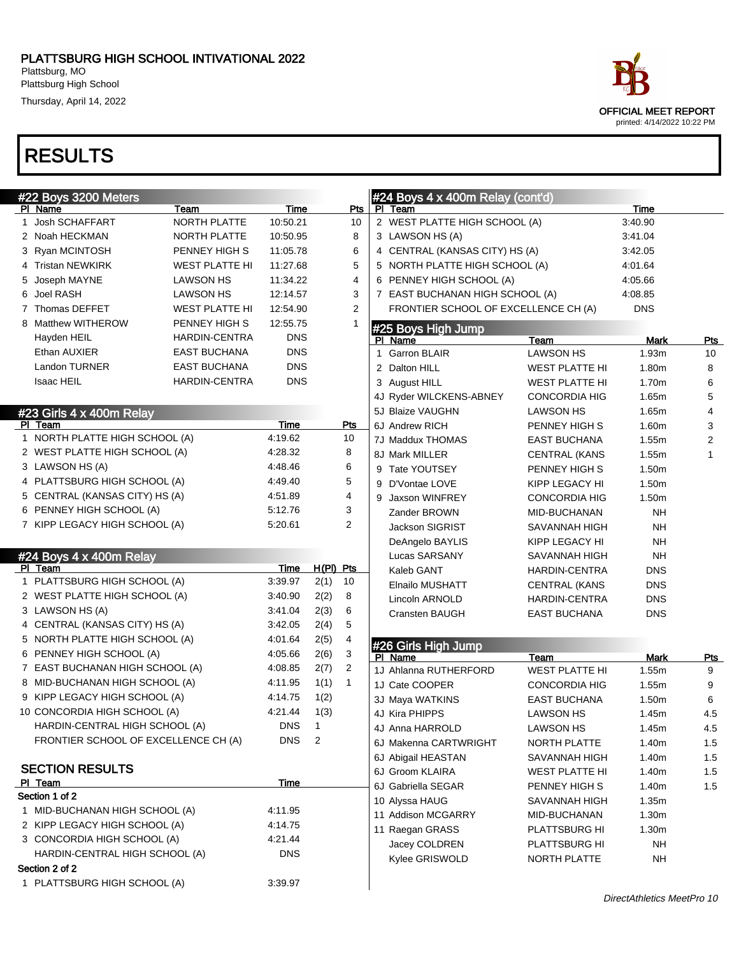Thursday, April 14, 2022

| #22 Boys 3200 Meters                       |                       |            |                |                |                | #24 Boys 4 x 400m Relay (cont'd)     |                       |            |                         |
|--------------------------------------------|-----------------------|------------|----------------|----------------|----------------|--------------------------------------|-----------------------|------------|-------------------------|
| PI Name                                    | Team                  | Time       |                | Pts            | PI.            | Team                                 |                       | Time       |                         |
| 1 Josh SCHAFFART                           | NORTH PLATTE          | 10:50.21   |                | 10             |                | 2 WEST PLATTE HIGH SCHOOL (A)        |                       | 3:40.90    |                         |
| 2 Noah HECKMAN                             | NORTH PLATTE          | 10:50.95   |                | 8              |                | 3 LAWSON HS (A)                      |                       | 3:41.04    |                         |
| 3 Ryan MCINTOSH                            | PENNEY HIGH S         | 11:05.78   |                | 6              |                | 4 CENTRAL (KANSAS CITY) HS (A)       |                       | 3:42.05    |                         |
| 4 Tristan NEWKIRK                          | <b>WEST PLATTE HI</b> | 11:27.68   |                | 5              |                | 5 NORTH PLATTE HIGH SCHOOL (A)       |                       | 4:01.64    |                         |
| 5 Joseph MAYNE                             | <b>LAWSON HS</b>      | 11:34.22   |                | 4              |                | 6 PENNEY HIGH SCHOOL (A)             |                       | 4:05.66    |                         |
| 6 Joel RASH                                | <b>LAWSON HS</b>      | 12:14.57   |                | 3              |                | 7 EAST BUCHANAN HIGH SCHOOL (A)      |                       | 4:08.85    |                         |
| 7 Thomas DEFFET                            | <b>WEST PLATTE HI</b> | 12:54.90   |                | 2              |                | FRONTIER SCHOOL OF EXCELLENCE CH (A) |                       | <b>DNS</b> |                         |
| 8 Matthew WITHEROW                         | PENNEY HIGH S         | 12:55.75   |                |                |                |                                      |                       |            |                         |
| Hayden HEIL                                | HARDIN-CENTRA         | <b>DNS</b> |                |                |                | #25 Boys High Jump<br>PI Name        | Team                  | Mark       | <u>Pts</u>              |
| Ethan AUXIER                               | <b>EAST BUCHANA</b>   | <b>DNS</b> |                |                |                | 1 Garron BLAIR                       | <b>LAWSON HS</b>      | 1.93m      | 10                      |
| Landon TURNER                              | <b>EAST BUCHANA</b>   | <b>DNS</b> |                |                |                | 2 Dalton HILL                        | <b>WEST PLATTE HI</b> | 1.80m      | 8                       |
| <b>Isaac HEIL</b>                          | <b>HARDIN-CENTRA</b>  | <b>DNS</b> |                |                |                | 3 August HILL                        | <b>WEST PLATTE HI</b> | 1.70m      | 6                       |
|                                            |                       |            |                |                |                | 4J Ryder WILCKENS-ABNEY              | <b>CONCORDIA HIG</b>  | 1.65m      | 5                       |
| #23 Girls 4 x 400m Relay                   |                       |            |                |                |                | 5J Blaize VAUGHN                     | <b>LAWSON HS</b>      | 1.65m      | 4                       |
| PI Team                                    |                       | Time       |                | <b>Pts</b>     |                | 6J Andrew RICH                       | PENNEY HIGH S         | 1.60m      | 3                       |
| 1 NORTH PLATTE HIGH SCHOOL (A)             |                       | 4:19.62    |                | 10             |                | 7J Maddux THOMAS                     | EAST BUCHANA          | 1.55m      | $\overline{\mathbf{c}}$ |
| 2 WEST PLATTE HIGH SCHOOL (A)              |                       | 4:28.32    |                | 8              |                | 8J Mark MILLER                       | <b>CENTRAL (KANS</b>  | 1.55m      | 1                       |
| 3 LAWSON HS (A)                            |                       | 4:48.46    |                | 6              |                | 9 Tate YOUTSEY                       | PENNEY HIGH S         | 1.50m      |                         |
| 4 PLATTSBURG HIGH SCHOOL (A)               |                       | 4:49.40    |                | 5              |                | 9 D'Vontae LOVE                      | KIPP LEGACY HI        | 1.50m      |                         |
| 5 CENTRAL (KANSAS CITY) HS (A)             |                       | 4:51.89    |                | 4              |                | 9 Jaxson WINFREY                     | <b>CONCORDIA HIG</b>  | 1.50m      |                         |
| 6 PENNEY HIGH SCHOOL (A)                   |                       | 5:12.76    |                | 3              |                | Zander BROWN                         |                       |            |                         |
| 7 KIPP LEGACY HIGH SCHOOL (A)              |                       | 5:20.61    |                | 2              |                |                                      | MID-BUCHANAN          | NΗ         |                         |
|                                            |                       |            |                |                |                | <b>Jackson SIGRIST</b>               | SAVANNAH HIGH         | NΗ         |                         |
|                                            |                       |            |                |                |                | DeAngelo BAYLIS                      | KIPP LEGACY HI        | NΗ         |                         |
| #24 Boys $4 \times 400$ m Relay<br>PI Team |                       | Time       | H(PI) Pts      |                |                | Lucas SARSANY                        | SAVANNAH HIGH         | NΗ         |                         |
| 1 PLATTSBURG HIGH SCHOOL (A)               |                       | 3:39.97    | 2(1)           | 10             |                | Kaleb GANT                           | HARDIN-CENTRA         | <b>DNS</b> |                         |
| 2 WEST PLATTE HIGH SCHOOL (A)              |                       | 3:40.90    | 2(2)           | 8              |                | Elnailo MUSHATT                      | <b>CENTRAL (KANS</b>  | <b>DNS</b> |                         |
| 3 LAWSON HS (A)                            |                       | 3:41.04    | 2(3)           | 6              |                | Lincoln ARNOLD                       | HARDIN-CENTRA         | <b>DNS</b> |                         |
| 4 CENTRAL (KANSAS CITY) HS (A)             |                       | 3:42.05    | 2(4)           | 5              |                | <b>Cransten BAUGH</b>                | <b>EAST BUCHANA</b>   | <b>DNS</b> |                         |
| 5 NORTH PLATTE HIGH SCHOOL (A)             |                       | 4:01.64    | 2(5)           | 4              |                |                                      |                       |            |                         |
| 6 PENNEY HIGH SCHOOL (A)                   |                       | 4:05.66    | 2(6)           | 3              |                | #26 Girls High Jump                  |                       |            |                         |
| 7 EAST BUCHANAN HIGH SCHOOL (A)            |                       | 4:08.85    | 2(7)           | $\overline{2}$ |                | PI Name                              | Team                  | Mark       | <u>Pts</u>              |
| 8 MID-BUCHANAN HIGH SCHOOL (A)             |                       | 4:11.95    | 1(1)           | $\mathbf{1}$   |                | 1J Ahlanna RUTHERFORD                | <b>WEST PLATTE HI</b> | 1.55m      | 9                       |
| 9 KIPP LEGACY HIGH SCHOOL (A)              |                       | 4:14.75    | 1(2)           |                |                | 1J Cate COOPER                       | <b>CONCORDIA HIG</b>  | 1.55m      | 9                       |
| 10 CONCORDIA HIGH SCHOOL (A)               |                       | 4:21.44    | 1(3)           |                |                | 3J Maya WATKINS                      | <b>EAST BUCHANA</b>   | 1.50m      | 6                       |
| HARDIN-CENTRAL HIGH SCHOOL (A)             |                       | <b>DNS</b> | $\overline{1}$ |                |                | 4J Kira PHIPPS                       | <b>LAWSON HS</b>      | 1.45m      | 4.5                     |
| FRONTIER SCHOOL OF EXCELLENCE CH (A)       |                       | <b>DNS</b> | $\overline{2}$ |                |                | 4J Anna HARROLD                      | <b>LAWSON HS</b>      | 1.45m      | 4.5                     |
|                                            |                       |            |                |                |                | 6J Makenna CARTWRIGHT                | NORTH PLATTE          | 1.40m      | 1.5                     |
| <b>SECTION RESULTS</b>                     |                       |            |                |                |                | 6J Abigail HEASTAN                   | SAVANNAH HIGH         | 1.40m      | 1.5                     |
| PI Team                                    |                       | Time       |                |                |                | 6J Groom KLAIRA                      | <b>WEST PLATTE HI</b> | 1.40m      | 1.5                     |
| Section 1 of 2                             |                       |            |                |                |                | 6J Gabriella SEGAR                   | PENNEY HIGH S         | 1.40m      | 1.5                     |
| 1 MID-BUCHANAN HIGH SCHOOL (A)             |                       | 4:11.95    |                |                |                | 10 Alyssa HAUG                       | SAVANNAH HIGH         | 1.35m      |                         |
| 2 KIPP LEGACY HIGH SCHOOL (A)              |                       | 4:14.75    |                |                |                | 11 Addison MCGARRY                   | MID-BUCHANAN          | 1.30m      |                         |
| 3 CONCORDIA HIGH SCHOOL (A)                |                       | 4:21.44    |                |                |                | 11 Raegan GRASS                      | PLATTSBURG HI         | 1.30m      |                         |
| HARDIN-CENTRAL HIGH SCHOOL (A)             |                       | <b>DNS</b> |                |                |                | Jacey COLDREN                        | PLATTSBURG HI         | <b>NH</b>  |                         |
| Section 2 of 2                             |                       |            |                |                | Kylee GRISWOLD | NORTH PLATTE                         | <b>NH</b>             |            |                         |
| 1 PLATTSBURG HIGH SCHOOL (A)               |                       | 3:39.97    |                |                |                |                                      |                       |            |                         |
|                                            |                       |            |                |                |                |                                      |                       |            |                         |

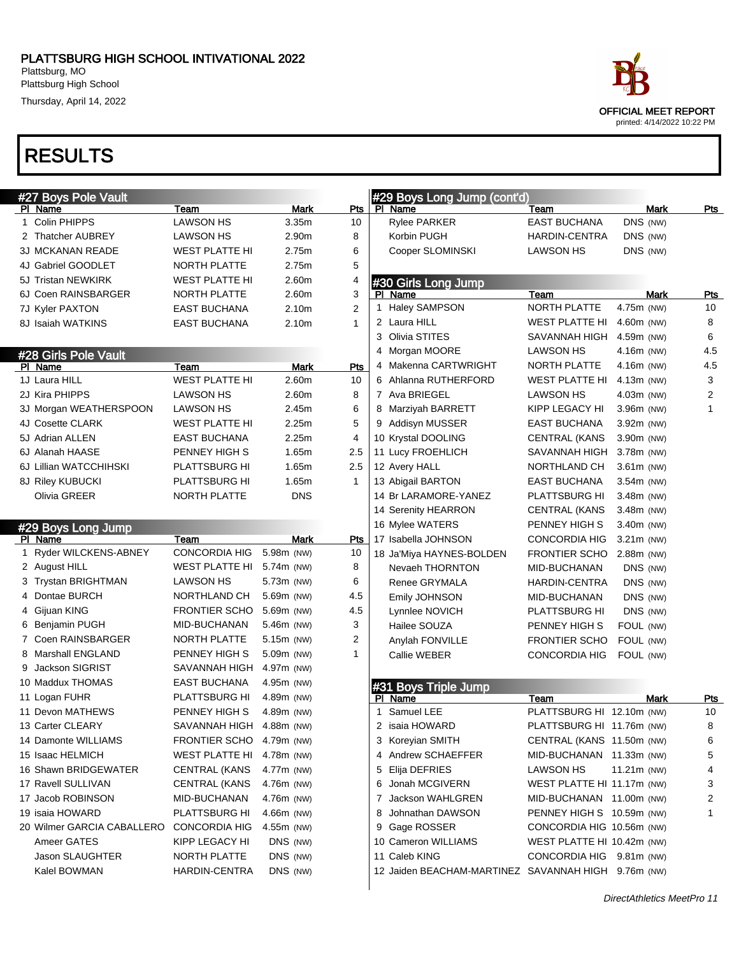#### PLATTSBURG HIGH SCHOOL INTIVATIONAL 2022

Plattsburg, MO Plattsburg High School

Thursday, April 14, 2022

### RESULTS

|   | #27 Boys Pole Vault        |                               |                |                     |   | #29 Boys Long Jump (cont'd)                         |                             |              |             |                         |
|---|----------------------------|-------------------------------|----------------|---------------------|---|-----------------------------------------------------|-----------------------------|--------------|-------------|-------------------------|
|   | PI Name                    | Team<br><b>LAWSON HS</b>      | <b>Mark</b>    | Pts                 |   | PI Name                                             | Team<br><b>EAST BUCHANA</b> |              | <b>Mark</b> | <b>Pts</b>              |
|   | 1 Colin PHIPPS             |                               | 3.35m<br>2.90m | 10                  |   | <b>Rylee PARKER</b>                                 |                             | DNS (NW)     |             |                         |
|   | 2 Thatcher AUBREY          | <b>LAWSON HS</b>              |                | 8                   |   | Korbin PUGH                                         | <b>HARDIN-CENTRA</b>        | DNS (NW)     |             |                         |
|   | 3J MCKANAN READE           | <b>WEST PLATTE HI</b>         | 2.75m          | 6                   |   | Cooper SLOMINSKI                                    | LAWSON HS                   | DNS (NW)     |             |                         |
|   | 4J Gabriel GOODLET         | NORTH PLATTE                  | 2.75m          | 5                   |   |                                                     |                             |              |             |                         |
|   | 5J Tristan NEWKIRK         | <b>WEST PLATTE HI</b>         | 2.60m          | 4                   |   | #30 Girls Long Jump                                 |                             |              |             |                         |
|   | 6J Coen RAINSBARGER        | NORTH PLATTE                  | 2.60m          | 3<br>$\overline{2}$ |   | PI Name<br>1 Haley SAMPSON                          | Team<br><b>NORTH PLATTE</b> | 4.75m (NW)   | Mark        | Pts<br>10               |
|   | 7J Kyler PAXTON            | <b>EAST BUCHANA</b>           | 2.10m          |                     |   | 2 Laura HILL                                        | <b>WEST PLATTE HI</b>       | 4.60m (NW)   |             | 8                       |
|   | 8J Isaiah WATKINS          | <b>EAST BUCHANA</b>           | 2.10m          | $\mathbf{1}$        |   | 3 Olivia STITES                                     | SAVANNAH HIGH               | 4.59m (NW)   |             | 6                       |
|   |                            |                               |                |                     |   | 4 Morgan MOORE                                      | <b>LAWSON HS</b>            | 4.16m (NW)   |             | 4.5                     |
|   | #28 Girls Pole Vault       |                               |                |                     |   | 4 Makenna CARTWRIGHT                                | NORTH PLATTE                | 4.16m (NW)   |             | 4.5                     |
|   | PI Name<br>1J Laura HILL   | Team<br><b>WEST PLATTE HI</b> | Mark<br>2.60m  | Pts<br>10           |   | 6 Ahlanna RUTHERFORD                                | <b>WEST PLATTE HI</b>       | 4.13m (NW)   |             | 3                       |
|   | 2J Kira PHIPPS             | <b>LAWSON HS</b>              | 2.60m          | 8                   |   | 7 Ava BRIEGEL                                       | LAWSON HS                   | 4.03m (NW)   |             | $\overline{\mathbf{c}}$ |
|   |                            | <b>LAWSON HS</b>              | 2.45m          | 6                   |   | 8 Marziyah BARRETT                                  |                             | 3.96m (NW)   |             | $\mathbf{1}$            |
|   | 3J Morgan WEATHERSPOON     |                               | 2.25m          | 5                   |   |                                                     | KIPP LEGACY HI              |              |             |                         |
|   | 4J Cosette CLARK           | <b>WEST PLATTE HI</b>         |                |                     |   | 9 Addisyn MUSSER                                    | EAST BUCHANA                | 3.92m (NW)   |             |                         |
|   | 5J Adrian ALLEN            | <b>EAST BUCHANA</b>           | 2.25m          | 4                   |   | 10 Krystal DOOLING                                  | <b>CENTRAL (KANS</b>        | 3.90m (NW)   |             |                         |
|   | 6J Alanah HAASE            | PENNEY HIGH S                 | 1.65m          | 2.5                 |   | 11 Lucy FROEHLICH                                   | SAVANNAH HIGH               | 3.78m (NW)   |             |                         |
|   | 6J Lillian WATCCHIHSKI     | PLATTSBURG HI                 | 1.65m          | 2.5                 |   | 12 Avery HALL                                       | NORTHLAND CH                | $3.61m$ (NW) |             |                         |
|   | 8J Riley KUBUCKI           | PLATTSBURG HI                 | 1.65m          | $\mathbf{1}$        |   | 13 Abigail BARTON                                   | EAST BUCHANA                | 3.54m (NW)   |             |                         |
|   | Olivia GREER               | NORTH PLATTE                  | <b>DNS</b>     |                     |   | 14 Br LARAMORE-YANEZ                                | PLATTSBURG HI               | 3.48m (NW)   |             |                         |
|   |                            |                               |                |                     |   | 14 Serenity HEARRON                                 | <b>CENTRAL (KANS</b>        | 3.48m (NW)   |             |                         |
|   | #29 Boys Long Jump         |                               |                |                     |   | 16 Mylee WATERS                                     | PENNEY HIGH S               | 3.40m (NW)   |             |                         |
|   | PI Name                    | Team                          | Mark           | Pts                 |   | 17 Isabella JOHNSON                                 | <b>CONCORDIA HIG</b>        | $3.21m$ (NW) |             |                         |
|   | 1 Ryder WILCKENS-ABNEY     | <b>CONCORDIA HIG</b>          | 5.98m (NW)     | 10                  |   | 18 Ja'Miya HAYNES-BOLDEN                            | <b>FRONTIER SCHO</b>        | 2.88m (NW)   |             |                         |
|   | 2 August HILL              | <b>WEST PLATTE HI</b>         | 5.74m (NW)     | 8                   |   | Nevaeh THORNTON                                     | MID-BUCHANAN                | DNS (NW)     |             |                         |
|   | 3 Trystan BRIGHTMAN        | LAWSON HS                     | 5.73m (NW)     | 6                   |   | Renee GRYMALA                                       | <b>HARDIN-CENTRA</b>        | DNS (NW)     |             |                         |
|   | 4 Dontae BURCH             | NORTHLAND CH                  | 5.69m (NW)     | 4.5                 |   | Emily JOHNSON                                       | MID-BUCHANAN                | DNS (NW)     |             |                         |
|   | 4 Gijuan KING              | <b>FRONTIER SCHO</b>          | 5.69m (NW)     | 4.5                 |   | Lynnlee NOVICH                                      | PLATTSBURG HI               | DNS (NW)     |             |                         |
|   | 6 Benjamin PUGH            | MID-BUCHANAN                  | 5.46m (NW)     | 3                   |   | Hailee SOUZA                                        | PENNEY HIGH S               | FOUL (NW)    |             |                         |
|   | 7 Coen RAINSBARGER         | NORTH PLATTE                  | $5.15m$ (NW)   | $\overline{2}$      |   | Anylah FONVILLE                                     | <b>FRONTIER SCHO</b>        | FOUL (NW)    |             |                         |
|   | 8 Marshall ENGLAND         | PENNEY HIGH S                 | 5.09m (NW)     | 1                   |   | Callie WEBER                                        | CONCORDIA HIG               | FOUL (NW)    |             |                         |
| 9 | <b>Jackson SIGRIST</b>     | SAVANNAH HIGH                 | 4.97m (NW)     |                     |   |                                                     |                             |              |             |                         |
|   | 10 Maddux THOMAS           | <b>EAST BUCHANA</b>           | 4.95m (NW)     |                     |   | #31 Boys Triple Jump                                |                             |              |             |                         |
|   | 11 Logan FUHR              | PLATTSBURG HI                 | 4.89m (NW)     |                     |   | PI Name                                             | Team                        |              | Mark        | <u>Pts</u>              |
|   | 11 Devon MATHEWS           | PENNEY HIGH S                 | 4.89m (NW)     |                     | 1 | Samuel LEE                                          | PLATTSBURG HI 12.10m (NW)   |              |             | 10                      |
|   | 13 Carter CLEARY           | SAVANNAH HIGH                 | 4.88m (NW)     |                     |   | 2 isaia HOWARD                                      | PLATTSBURG HI 11.76m (NW)   |              |             | 8                       |
|   | 14 Damonte WILLIAMS        | <b>FRONTIER SCHO</b>          | 4.79m (NW)     |                     |   | 3 Koreyian SMITH                                    | CENTRAL (KANS 11.50m (NW)   |              |             | 6                       |
|   | 15 Isaac HELMICH           | WEST PLATTE HI                | 4.78m (NW)     |                     |   | 4 Andrew SCHAEFFER                                  | MID-BUCHANAN 11.33m (NW)    |              |             | 5                       |
|   | 16 Shawn BRIDGEWATER       | <b>CENTRAL (KANS</b>          | 4.77m (NW)     |                     | 5 | Elija DEFRIES                                       | LAWSON HS                   | 11.21m (NW)  |             | 4                       |
|   | 17 Ravell SULLIVAN         | <b>CENTRAL (KANS</b>          | 4.76m (NW)     |                     |   | 6 Jonah MCGIVERN                                    | WEST PLATTE HI 11.17m (NW)  |              |             | 3                       |
|   | 17 Jacob ROBINSON          | MID-BUCHANAN                  | 4.76m (NW)     |                     |   | 7 Jackson WAHLGREN                                  | MID-BUCHANAN 11.00m (NW)    |              |             | 2                       |
|   | 19 isaia HOWARD            | <b>PLATTSBURG HI</b>          | 4.66m (NW)     |                     | 8 | Johnathan DAWSON                                    | PENNEY HIGH S 10.59m (NW)   |              |             | 1                       |
|   | 20 Wilmer GARCIA CABALLERO | <b>CONCORDIA HIG</b>          | 4.55m (NW)     |                     |   | 9 Gage ROSSER                                       | CONCORDIA HIG 10.56m (NW)   |              |             |                         |
|   | Ameer GATES                | KIPP LEGACY HI                | DNS (NW)       |                     |   | 10 Cameron WILLIAMS                                 | WEST PLATTE HI 10.42m (NW)  |              |             |                         |
|   | Jason SLAUGHTER            | NORTH PLATTE                  | DNS (NW)       |                     |   | 11 Caleb KING                                       | CONCORDIA HIG 9.81m (NW)    |              |             |                         |
|   | Kalel BOWMAN               | <b>HARDIN-CENTRA</b>          | DNS (NW)       |                     |   | 12 Jaiden BEACHAM-MARTINEZ SAVANNAH HIGH 9.76m (NW) |                             |              |             |                         |



printed: 4/14/2022 10:22 PM

DirectAthletics MeetPro 11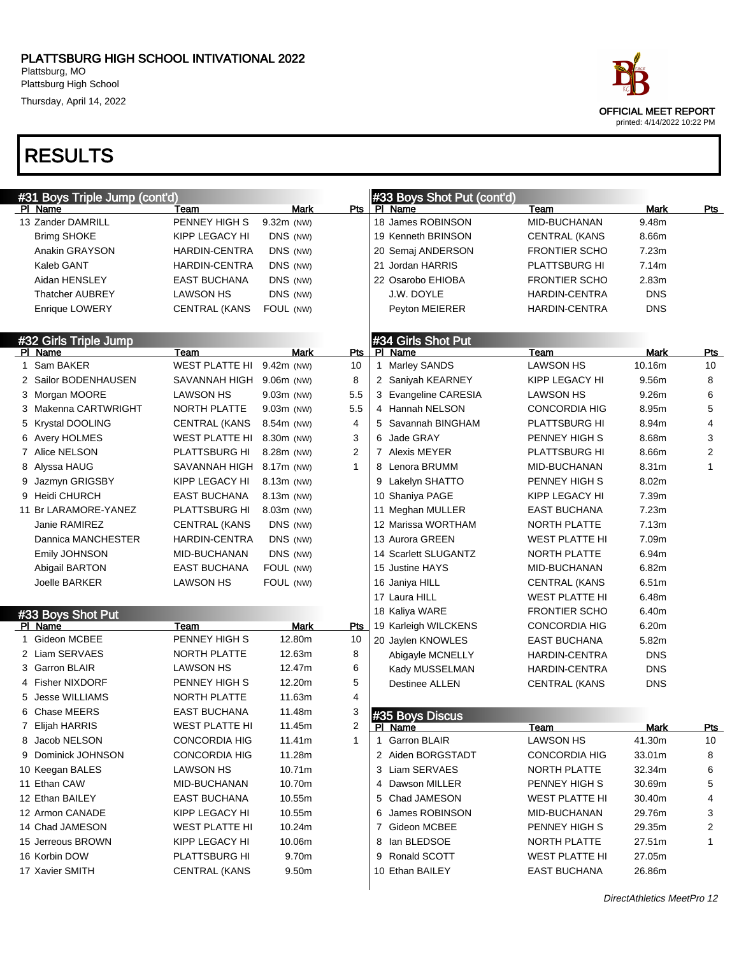### PLATTSBURG HIGH SCHOOL INTIVATIONAL 2022

Plattsburg, MO Plattsburg High School

Thursday, April 14, 2022

| #31 Boys Triple Jump (cont'd) |                       |              |                |    | #33 Boys Shot Put (cont'd) |                       |                   |                         |
|-------------------------------|-----------------------|--------------|----------------|----|----------------------------|-----------------------|-------------------|-------------------------|
| PI Name                       | Team                  | <b>Mark</b>  | Pts            |    | PI Name                    | Team                  | Mark              | <u>Pts</u>              |
| 13 Zander DAMRILL             | PENNEY HIGH S         | 9.32m (NW)   |                |    | 18 James ROBINSON          | MID-BUCHANAN          | 9.48m             |                         |
| <b>Brimg SHOKE</b>            | KIPP LEGACY HI        | DNS (NW)     |                |    | 19 Kenneth BRINSON         | <b>CENTRAL (KANS</b>  | 8.66m             |                         |
| Anakin GRAYSON                | <b>HARDIN-CENTRA</b>  | DNS (NW)     |                |    | 20 Semaj ANDERSON          | <b>FRONTIER SCHO</b>  | 7.23m             |                         |
| Kaleb GANT                    | <b>HARDIN-CENTRA</b>  | DNS (NW)     |                |    | 21 Jordan HARRIS           | PLATTSBURG HI         | 7.14m             |                         |
| Aidan HENSLEY                 | <b>EAST BUCHANA</b>   | DNS (NW)     |                |    | 22 Osarobo EHIOBA          | <b>FRONTIER SCHO</b>  | 2.83m             |                         |
| Thatcher AUBREY               | <b>LAWSON HS</b>      | DNS (NW)     |                |    | J.W. DOYLE                 | <b>HARDIN-CENTRA</b>  | <b>DNS</b>        |                         |
| Enrique LOWERY                | <b>CENTRAL (KANS</b>  | FOUL (NW)    |                |    | Peyton MEIERER             | HARDIN-CENTRA         | <b>DNS</b>        |                         |
| #32 Girls Triple Jump         |                       |              |                |    | #34 Girls Shot Put         |                       |                   |                         |
| PI Name                       | Team                  | Mark         | Pts            |    | PI Name                    | Team                  | Mark              | <b>Pts</b>              |
| 1 Sam BAKER                   | WEST PLATTE HI        | 9.42m (NW)   | 10             |    | 1 Marley SANDS             | LAWSON HS             | 10.16m            | 10                      |
| 2 Sailor BODENHAUSEN          | SAVANNAH HIGH         | $9.06m$ (NW) | 8              |    | 2 Saniyah KEARNEY          | KIPP LEGACY HI        | 9.56m             | 8                       |
| 3 Morgan MOORE                | LAWSON HS             | $9.03m$ (NW) | 5.5            |    | 3 Evangeline CARESIA       | LAWSON HS             | 9.26 <sub>m</sub> | 6                       |
| 3 Makenna CARTWRIGHT          | NORTH PLATTE          | $9.03m$ (NW) | 5.5            |    | 4 Hannah NELSON            | <b>CONCORDIA HIG</b>  | 8.95m             | 5                       |
| 5 Krystal DOOLING             | <b>CENTRAL (KANS</b>  | 8.54m (NW)   | 4              |    | 5 Savannah BINGHAM         | PLATTSBURG HI         | 8.94m             | 4                       |
| 6 Avery HOLMES                | <b>WEST PLATTE HI</b> | 8.30m (NW)   | 3              |    | 6 Jade GRAY                | PENNEY HIGH S         | 8.68m             | 3                       |
| 7 Alice NELSON                | PLATTSBURG HI         | 8.28m (NW)   | $\overline{2}$ |    | 7 Alexis MEYER             | PLATTSBURG HI         | 8.66m             | $\overline{\mathbf{c}}$ |
| 8 Alyssa HAUG                 | SAVANNAH HIGH         | 8.17m (NW)   | 1              |    | 8 Lenora BRUMM             | MID-BUCHANAN          | 8.31m             | $\mathbf{1}$            |
| Jazmyn GRIGSBY                | KIPP LEGACY HI        | 8.13m (NW)   |                |    | 9 Lakelyn SHATTO           | PENNEY HIGH S         | 8.02m             |                         |
| 9 Heidi CHURCH                | <b>EAST BUCHANA</b>   | 8.13m (NW)   |                |    | 10 Shaniya PAGE            | KIPP LEGACY HI        | 7.39m             |                         |
| 11 Br LARAMORE-YANEZ          | PLATTSBURG HI         | 8.03m (NW)   |                |    | 11 Meghan MULLER           | <b>EAST BUCHANA</b>   | 7.23m             |                         |
| Janie RAMIREZ                 | <b>CENTRAL (KANS</b>  | DNS (NW)     |                |    | 12 Marissa WORTHAM         | NORTH PLATTE          | 7.13m             |                         |
| Dannica MANCHESTER            | <b>HARDIN-CENTRA</b>  | DNS (NW)     |                |    | 13 Aurora GREEN            | <b>WEST PLATTE HI</b> | 7.09m             |                         |
| <b>Emily JOHNSON</b>          | MID-BUCHANAN          | DNS (NW)     |                |    | 14 Scarlett SLUGANTZ       | NORTH PLATTE          | 6.94m             |                         |
| Abigail BARTON                | <b>EAST BUCHANA</b>   | FOUL (NW)    |                |    | 15 Justine HAYS            | MID-BUCHANAN          | 6.82m             |                         |
| Joelle BARKER                 | <b>LAWSON HS</b>      | FOUL (NW)    |                |    | 16 Janiya HILL             | <b>CENTRAL (KANS</b>  | 6.51m             |                         |
|                               |                       |              |                |    | 17 Laura HILL              | <b>WEST PLATTE HI</b> | 6.48m             |                         |
| #33 Boys Shot Put             |                       |              |                |    | 18 Kaliya WARE             | <b>FRONTIER SCHO</b>  | 6.40m             |                         |
| PI Name                       | Team                  | Mark         | Pts            |    | 19 Karleigh WILCKENS       | <b>CONCORDIA HIG</b>  | 6.20m             |                         |
| 1 Gideon MCBEE                | PENNEY HIGH S         | 12.80m       | 10             |    | 20 Jaylen KNOWLES          | <b>EAST BUCHANA</b>   | 5.82m             |                         |
| 2 Liam SERVAES                | NORTH PLATTE          | 12.63m       | 8              |    | Abigayle MCNELLY           | HARDIN-CENTRA         | <b>DNS</b>        |                         |
| 3 Garron BLAIR                | <b>LAWSON HS</b>      | 12.47m       | 6              |    | Kady MUSSELMAN             | HARDIN-CENTRA         | <b>DNS</b>        |                         |
| 4 Fisher NIXDORF              | PENNEY HIGH S         | 12.20m       | 5              |    | <b>Destinee ALLEN</b>      | <b>CENTRAL (KANS</b>  | <b>DNS</b>        |                         |
| 5 Jesse WILLIAMS              | <b>NORTH PLATTE</b>   | 11.63m       | 4              |    |                            |                       |                   |                         |
| 6 Chase MEERS                 | EAST BUCHANA          | 11.48m       | 3              |    | #35 Boys Discus            |                       |                   |                         |
| 7 Elijah HARRIS               | <b>WEST PLATTE HI</b> | 11.45m       | 2              |    | PI Name                    | Team                  | Mark              | Pts                     |
| 8 Jacob NELSON                | CONCORDIA HIG         | 11.41m       | 1              |    | 1 Garron BLAIR             | LAWSON HS             | 41.30m            | 10                      |
| 9 Dominick JOHNSON            | CONCORDIA HIG         | 11.28m       |                |    | 2 Aiden BORGSTADT          | CONCORDIA HIG         | 33.01m            | 8                       |
| 10 Keegan BALES               | LAWSON HS             | 10.71m       |                |    | 3 Liam SERVAES             | NORTH PLATTE          | 32.34m            | 6                       |
| 11 Ethan CAW                  | MID-BUCHANAN          | 10.70m       |                |    | 4 Dawson MILLER            | PENNEY HIGH S         | 30.69m            | 5                       |
| 12 Ethan BAILEY               | EAST BUCHANA          | 10.55m       |                |    | 5 Chad JAMESON             | <b>WEST PLATTE HI</b> | 30.40m            | 4                       |
| 12 Armon CANADE               | KIPP LEGACY HI        | 10.55m       |                | 6. | James ROBINSON             | MID-BUCHANAN          | 29.76m            | 3                       |
| 14 Chad JAMESON               | <b>WEST PLATTE HI</b> | 10.24m       |                |    | 7 Gideon MCBEE             | PENNEY HIGH S         | 29.35m            | 2                       |
| 15 Jerreous BROWN             | KIPP LEGACY HI        | 10.06m       |                |    | 8 Ian BLEDSOE              | NORTH PLATTE          | 27.51m            | 1                       |
| 16 Korbin DOW                 | PLATTSBURG HI         | 9.70m        |                |    | 9 Ronald SCOTT             | <b>WEST PLATTE HI</b> | 27.05m            |                         |
| 17 Xavier SMITH               | <b>CENTRAL (KANS</b>  | 9.50m        |                |    | 10 Ethan BAILEY            | <b>EAST BUCHANA</b>   | 26.86m            |                         |
|                               |                       |              |                |    |                            |                       |                   |                         |

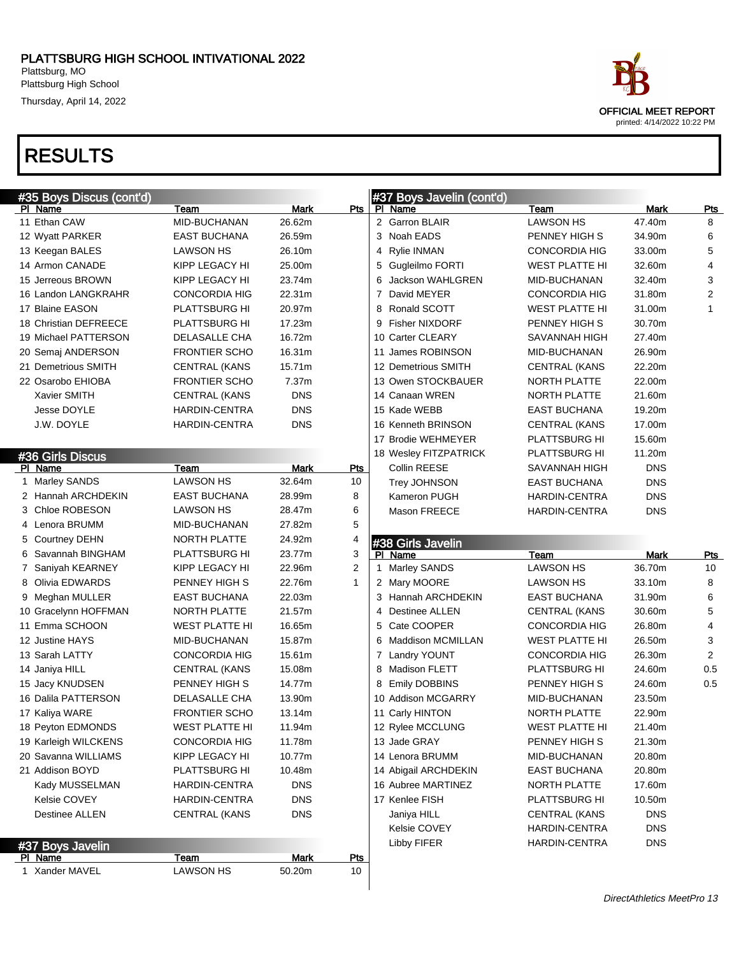Thursday, April 14, 2022

### RESULTS

|    | #35 Boys Discus (cont'd)  |                          |                       |                  | #37 Boys Javelin (cont'd)    |                       |            |                |
|----|---------------------------|--------------------------|-----------------------|------------------|------------------------------|-----------------------|------------|----------------|
|    | PI Name                   | Team                     | <b>Mark</b>           | Pts              | PI Name                      | Team                  | Mark       | <b>Pts</b>     |
|    | 11 Ethan CAW              | MID-BUCHANAN             | 26.62m                |                  | 2 Garron BLAIR               | <b>LAWSON HS</b>      | 47.40m     | 8              |
|    | 12 Wyatt PARKER           | <b>EAST BUCHANA</b>      | 26.59m                |                  | 3 Noah EADS                  | PENNEY HIGH S         | 34.90m     | 6              |
|    | 13 Keegan BALES           | LAWSON HS                | 26.10m                |                  | 4 Rylie INMAN                | <b>CONCORDIA HIG</b>  | 33.00m     | 5              |
|    | 14 Armon CANADE           | KIPP LEGACY HI           | 25.00m                |                  | 5 Gugleilmo FORTI            | WEST PLATTE HI        | 32.60m     | $\overline{4}$ |
|    | 15 Jerreous BROWN         | KIPP LEGACY HI           | 23.74m                |                  | 6 Jackson WAHLGREN           | MID-BUCHANAN          | 32.40m     | 3              |
|    | 16 Landon LANGKRAHR       | <b>CONCORDIA HIG</b>     | 22.31m                |                  | 7 David MEYER                | <b>CONCORDIA HIG</b>  | 31.80m     | 2              |
|    | 17 Blaine EASON           | PLATTSBURG HI            | 20.97m                |                  | 8 Ronald SCOTT               | <b>WEST PLATTE HI</b> | 31.00m     | 1              |
|    | 18 Christian DEFREECE     | PLATTSBURG HI            | 17.23m                |                  | 9 Fisher NIXDORF             | PENNEY HIGH S         | 30.70m     |                |
|    | 19 Michael PATTERSON      | DELASALLE CHA            | 16.72m                |                  | 10 Carter CLEARY             | SAVANNAH HIGH         | 27.40m     |                |
|    | 20 Semaj ANDERSON         | <b>FRONTIER SCHO</b>     | 16.31m                |                  | 11 James ROBINSON            | MID-BUCHANAN          | 26.90m     |                |
|    | 21 Demetrious SMITH       | <b>CENTRAL (KANS</b>     | 15.71m                |                  | 12 Demetrious SMITH          | <b>CENTRAL (KANS</b>  | 22.20m     |                |
|    | 22 Osarobo EHIOBA         | <b>FRONTIER SCHO</b>     | 7.37m                 |                  | 13 Owen STOCKBAUER           | NORTH PLATTE          | 22.00m     |                |
|    | Xavier SMITH              | <b>CENTRAL (KANS</b>     | <b>DNS</b>            |                  | 14 Canaan WREN               | NORTH PLATTE          | 21.60m     |                |
|    | Jesse DOYLE               | <b>HARDIN-CENTRA</b>     | <b>DNS</b>            |                  | 15 Kade WEBB                 | <b>EAST BUCHANA</b>   | 19.20m     |                |
|    | J.W. DOYLE                | HARDIN-CENTRA            | <b>DNS</b>            |                  | 16 Kenneth BRINSON           | <b>CENTRAL (KANS</b>  | 17.00m     |                |
|    |                           |                          |                       |                  | 17 Brodie WEHMEYER           | PLATTSBURG HI         | 15.60m     |                |
|    | #36 Girls Discus          |                          |                       |                  | 18 Wesley FITZPATRICK        | PLATTSBURG HI         | 11.20m     |                |
|    | PI Name                   | Team                     | <b>Mark</b>           | <b>Pts</b>       | Collin REESE                 | SAVANNAH HIGH         | <b>DNS</b> |                |
| 1. | Marley SANDS              | <b>LAWSON HS</b>         | 32.64m                | 10               | Trey JOHNSON                 | <b>EAST BUCHANA</b>   | <b>DNS</b> |                |
|    | 2 Hannah ARCHDEKIN        | <b>EAST BUCHANA</b>      | 28.99m                | 8                | Kameron PUGH                 | HARDIN-CENTRA         | <b>DNS</b> |                |
|    | 3 Chloe ROBESON           | <b>LAWSON HS</b>         | 28.47m                | 6                | Mason FREECE                 | <b>HARDIN-CENTRA</b>  | <b>DNS</b> |                |
|    | 4 Lenora BRUMM            | MID-BUCHANAN             | 27.82m                | 5                |                              |                       |            |                |
|    |                           | NORTH PLATTE             |                       | 4                |                              |                       |            |                |
|    | 5 Courtney DEHN           |                          | 24.92m                |                  |                              |                       |            |                |
|    | 6 Savannah BINGHAM        | PLATTSBURG HI            | 23.77m                | 3                | #38 Girls Javelin<br>PI Name | Team                  | Mark       | Pts            |
|    | 7 Saniyah KEARNEY         | KIPP LEGACY HI           | 22.96m                | 2                | 1 Marley SANDS               | LAWSON HS             | 36.70m     | 10             |
|    | 8 Olivia EDWARDS          | PENNEY HIGH S            | 22.76m                | $\mathbf{1}$     | 2 Mary MOORE                 | <b>LAWSON HS</b>      | 33.10m     | 8              |
|    | 9 Meghan MULLER           | <b>EAST BUCHANA</b>      | 22.03m                |                  | 3 Hannah ARCHDEKIN           | <b>EAST BUCHANA</b>   | 31.90m     | 6              |
|    | 10 Gracelynn HOFFMAN      | NORTH PLATTE             | 21.57m                |                  | 4 Destinee ALLEN             | <b>CENTRAL (KANS</b>  | 30.60m     | 5              |
|    | 11 Emma SCHOON            | <b>WEST PLATTE HI</b>    | 16.65m                |                  | 5 Cate COOPER                | <b>CONCORDIA HIG</b>  | 26.80m     | 4              |
|    | 12 Justine HAYS           | MID-BUCHANAN             | 15.87m                |                  | 6 Maddison MCMILLAN          | <b>WEST PLATTE HI</b> | 26.50m     | 3              |
|    | 13 Sarah LATTY            | <b>CONCORDIA HIG</b>     | 15.61m                |                  | 7 Landry YOUNT               | <b>CONCORDIA HIG</b>  | 26.30m     | $\overline{2}$ |
|    | 14 Janiya HILL            | <b>CENTRAL (KANS</b>     | 15.08m                |                  | 8 Madison FLETT              | PLATTSBURG HI         | 24.60m     | 0.5            |
|    | 15 Jacy KNUDSEN           | PENNEY HIGH S            | 14.77m                |                  | 8 Emily DOBBINS              | PENNEY HIGH S         | 24.60m     | 0.5            |
|    | 16 Dalila PATTERSON       | DELASALLE CHA            | 13.90m                |                  | 10 Addison MCGARRY           | MID-BUCHANAN          | 23.50m     |                |
|    | 17 Kaliya WARE            | <b>FRONTIER SCHO</b>     | 13.14m                |                  | 11 Carly HINTON              | <b>NORTH PLATTE</b>   | 22.90m     |                |
|    | 18 Peyton EDMONDS         | WEST PLATTE HI           | 11.94m                |                  | 12 Rylee MCCLUNG             | <b>WEST PLATTE HI</b> | 21.40m     |                |
|    | 19 Karleigh WILCKENS      | <b>CONCORDIA HIG</b>     | 11.78m                |                  | 13 Jade GRAY                 | PENNEY HIGH S         | 21.30m     |                |
|    | 20 Savanna WILLIAMS       | KIPP LEGACY HI           | 10.77m                |                  | 14 Lenora BRUMM              | MID-BUCHANAN          | 20.80m     |                |
|    | 21 Addison BOYD           | PLATTSBURG HI            | 10.48m                |                  | 14 Abigail ARCHDEKIN         | EAST BUCHANA          | 20.80m     |                |
|    | Kady MUSSELMAN            | <b>HARDIN-CENTRA</b>     | <b>DNS</b>            |                  | 16 Aubree MARTINEZ           | NORTH PLATTE          | 17.60m     |                |
|    | Kelsie COVEY              | HARDIN-CENTRA            | <b>DNS</b>            |                  | 17 Kenlee FISH               | PLATTSBURG HI         | 10.50m     |                |
|    | <b>Destinee ALLEN</b>     | <b>CENTRAL (KANS</b>     | <b>DNS</b>            |                  | Janiya HILL                  | <b>CENTRAL (KANS</b>  | <b>DNS</b> |                |
|    |                           |                          |                       |                  | Kelsie COVEY                 | HARDIN-CENTRA         | <b>DNS</b> |                |
|    | #37 Boys Javelin          |                          |                       |                  | Libby FIFER                  | <b>HARDIN-CENTRA</b>  | <b>DNS</b> |                |
|    | PI Name<br>1 Xander MAVEL | Team<br><b>LAWSON HS</b> | <b>Mark</b><br>50.20m | <u>Pts</u><br>10 |                              |                       |            |                |



printed: 4/14/2022 10:22 PM